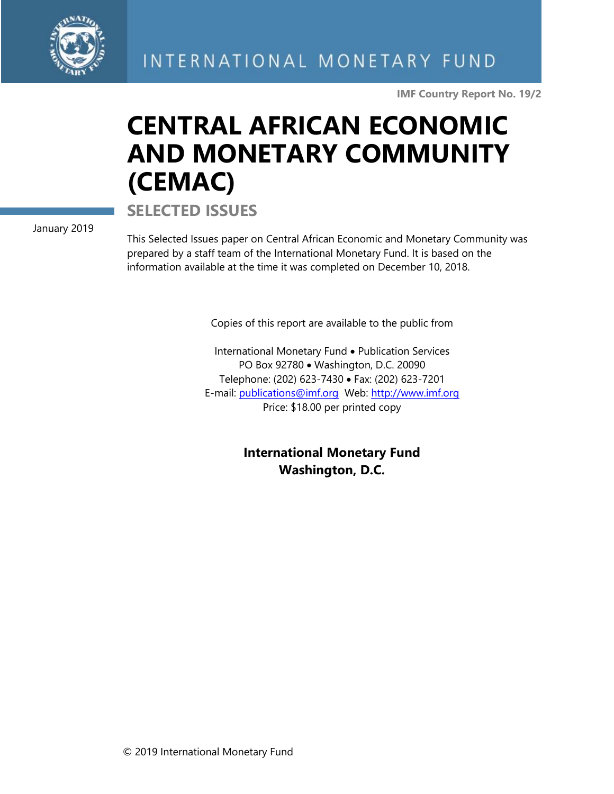

**IMF Country Report No. 19/2**

# **CENTRAL AFRICAN ECONOMIC AND MONETARY COMMUNITY (CEMAC)**

**SELECTED ISSUES**

January 2019

This Selected Issues paper on Central African Economic and Monetary Community was prepared by a staff team of the International Monetary Fund. It is based on the information available at the time it was completed on December 10, 2018.

Copies of this report are available to the public from

International Monetary Fund • Publication Services PO Box 92780 • Washington, D.C. 20090 Telephone: (202) 623-7430 • Fax: (202) 623-7201 E-mail: [publications@imf.org](mailto:publications@imf.org) Web: [http://www.imf.org](http://www.imf.org/) Price: \$18.00 per printed copy

> **International Monetary Fund Washington, D.C.**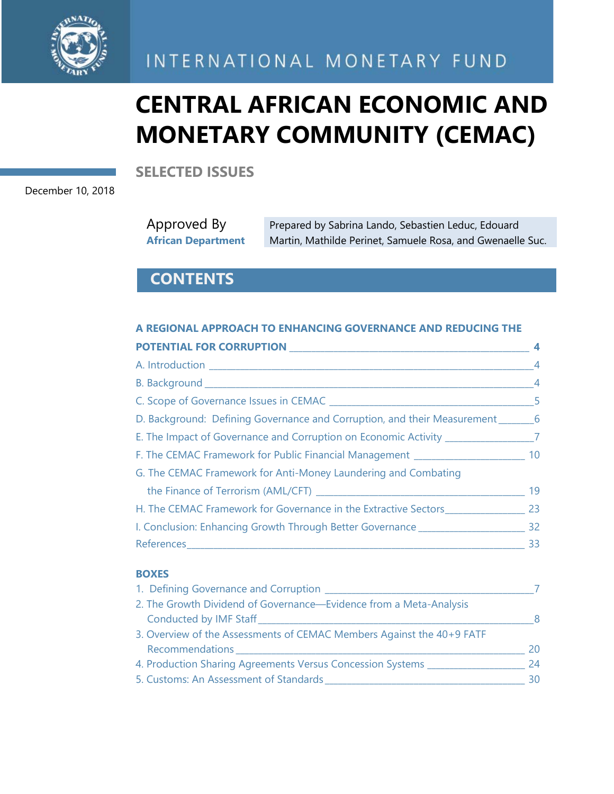

INTERNATIONAL MONETARY FUND

# **CENTRAL AFRICAN ECONOMIC AND MONETARY COMMUNITY (CEMAC)**

**SELECTED ISSUES**

December 10, 2018

| Approved By               | Prepared by Sabrina Lando, Sebastien Leduc, Edouard        |
|---------------------------|------------------------------------------------------------|
| <b>African Department</b> | Martin, Mathilde Perinet, Samuele Rosa, and Gwenaelle Suc. |

# **CONTENTS**

#### **A REGIONAL APPROACH TO ENHANCING GOVERNANCE AND REDUCING THE POTENTIAL FOR CORRUPTION 1**

| <u>FUTERINE FUNCUMMUT HUN EXTERN</u>                                               |                |
|------------------------------------------------------------------------------------|----------------|
|                                                                                    | $\overline{4}$ |
|                                                                                    | $\overline{4}$ |
|                                                                                    | $-5$           |
| D. Background: Defining Governance and Corruption, and their Measurement _______6  |                |
| E. The Impact of Governance and Corruption on Economic Activity _________________7 |                |
| F. The CEMAC Framework for Public Financial Management _________________________   | 10             |
| G. The CEMAC Framework for Anti-Money Laundering and Combating                     |                |
|                                                                                    | 19             |
| H. The CEMAC Framework for Governance in the Extractive Sectors                    | 23             |
| I. Conclusion: Enhancing Growth Through Better Governance ______________________   | 32             |
|                                                                                    | 33             |
|                                                                                    |                |

#### **BOXES**

| 1. Defining Governance and Corruption                                 |    |
|-----------------------------------------------------------------------|----|
| 2. The Growth Dividend of Governance-Evidence from a Meta-Analysis    |    |
| Conducted by IMF Staff <b>Conducted by IMF</b> Staff                  | 8  |
| 3. Overview of the Assessments of CEMAC Members Against the 40+9 FATF |    |
| Recommendations                                                       | 20 |
| 4. Production Sharing Agreements Versus Concession Systems            | 24 |
| 5. Customs: An Assessment of Standards                                | 30 |
|                                                                       |    |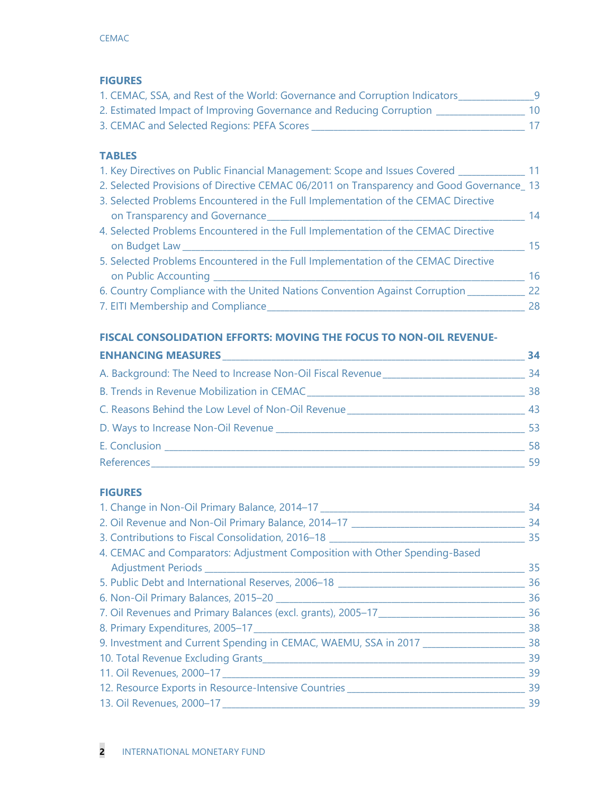## **FIGURES**

| 1. CEMAC, SSA, and Rest of the World: Governance and Corruption Indicators |  |
|----------------------------------------------------------------------------|--|
| 2. Estimated Impact of Improving Governance and Reducing Corruption        |  |
| 3. CEMAC and Selected Regions: PEFA Scores                                 |  |

## **TABLES**

| 1. Key Directives on Public Financial Management: Scope and Issues Covered _________     | -11 |
|------------------------------------------------------------------------------------------|-----|
| 2. Selected Provisions of Directive CEMAC 06/2011 on Transparency and Good Governance_13 |     |
| 3. Selected Problems Encountered in the Full Implementation of the CEMAC Directive       |     |
| on Transparency and Governance                                                           | 14  |
| 4. Selected Problems Encountered in the Full Implementation of the CEMAC Directive       |     |
| on Budget Law                                                                            | 15  |
| 5. Selected Problems Encountered in the Full Implementation of the CEMAC Directive       |     |
| on Public Accounting                                                                     | 16  |
| 6. Country Compliance with the United Nations Convention Against Corruption              | 22  |
| 7. EITI Membership and Compliance                                                        | 28  |
|                                                                                          |     |

## **FISCAL CONSOLIDATION EFFORTS: MOVING THE FOCUS TO NON-OIL REVENUE-**

|                                                                             | 34 |
|-----------------------------------------------------------------------------|----|
| A. Background: The Need to Increase Non-Oil Fiscal Revenue                  | 34 |
|                                                                             | 38 |
| C. Reasons Behind the Low Level of Non-Oil Revenue Land Land Land Land Land | 43 |
|                                                                             | 53 |
|                                                                             | 58 |
|                                                                             |    |

## **FIGURES**

| 1. Change in Non-Oil Primary Balance, 2014–17                                       | 34 |
|-------------------------------------------------------------------------------------|----|
| 2. Oil Revenue and Non-Oil Primary Balance, 2014-17                                 | 34 |
| 3. Contributions to Fiscal Consolidation, 2016–18                                   | 35 |
| 4. CEMAC and Comparators: Adjustment Composition with Other Spending-Based          |    |
|                                                                                     | 35 |
| 5. Public Debt and International Reserves, 2006-18                                  | 36 |
|                                                                                     | 36 |
| 7. Oil Revenues and Primary Balances (excl. grants), 2005-17                        | 36 |
|                                                                                     | 38 |
| 9. Investment and Current Spending in CEMAC, WAEMU, SSA in 2017                     | 38 |
| 10. Total Revenue Excluding Grants <b>Server Accept Accept Accept Accept Accept</b> | 39 |
|                                                                                     | 39 |
| 12. Resource Exports in Resource-Intensive Countries __________                     | 39 |
| 13. Oil Revenues, 2000-17                                                           | 39 |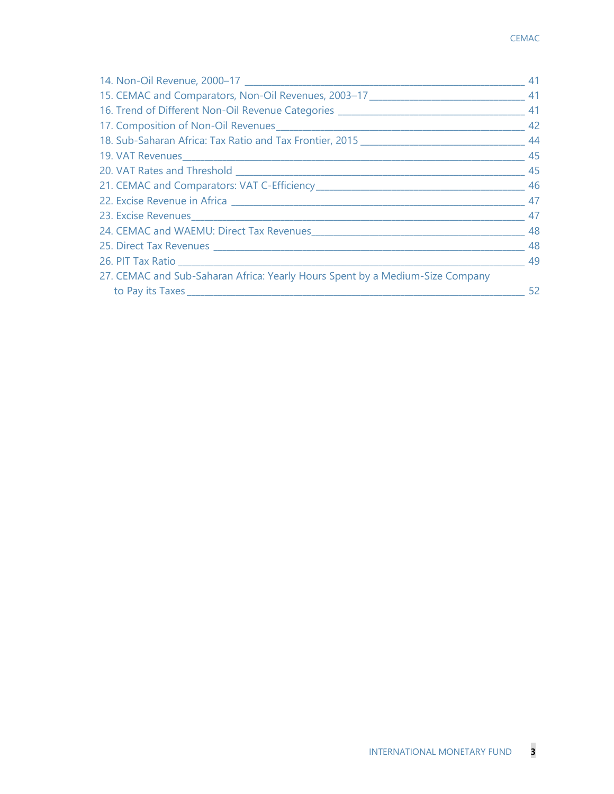| $\frac{1}{2}$ 49                                                              |  |
|-------------------------------------------------------------------------------|--|
| 27. CEMAC and Sub-Saharan Africa: Yearly Hours Spent by a Medium-Size Company |  |
|                                                                               |  |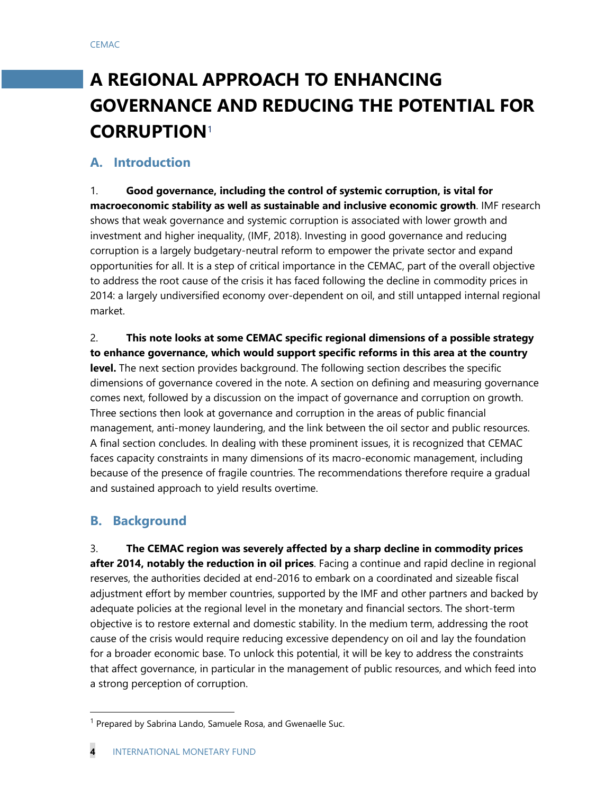# **A REGIONAL APPROACH TO ENHANCING GOVERNANCE AND REDUCING THE POTENTIAL FOR CORRUPTION**[1](#page-4-0)

## **A. Introduction**

1. **Good governance, including the control of systemic corruption, is vital for macroeconomic stability as well as sustainable and inclusive economic growth**. IMF research shows that weak governance and systemic corruption is associated with lower growth and investment and higher inequality, (IMF, 2018). Investing in good governance and reducing corruption is a largely budgetary-neutral reform to empower the private sector and expand opportunities for all. It is a step of critical importance in the CEMAC, part of the overall objective to address the root cause of the crisis it has faced following the decline in commodity prices in 2014: a largely undiversified economy over-dependent on oil, and still untapped internal regional market.

2. **This note looks at some CEMAC specific regional dimensions of a possible strategy to enhance governance, which would support specific reforms in this area at the country level.** The next section provides background. The following section describes the specific dimensions of governance covered in the note. A section on defining and measuring governance comes next, followed by a discussion on the impact of governance and corruption on growth. Three sections then look at governance and corruption in the areas of public financial management, anti-money laundering, and the link between the oil sector and public resources. A final section concludes. In dealing with these prominent issues, it is recognized that CEMAC faces capacity constraints in many dimensions of its macro-economic management, including because of the presence of fragile countries. The recommendations therefore require a gradual and sustained approach to yield results overtime.

## **B. Background**

3. **The CEMAC region was severely affected by a sharp decline in commodity prices after 2014, notably the reduction in oil prices**. Facing a continue and rapid decline in regional reserves, the authorities decided at end-2016 to embark on a coordinated and sizeable fiscal adjustment effort by member countries, supported by the IMF and other partners and backed by adequate policies at the regional level in the monetary and financial sectors. The short-term objective is to restore external and domestic stability. In the medium term, addressing the root cause of the crisis would require reducing excessive dependency on oil and lay the foundation for a broader economic base. To unlock this potential, it will be key to address the constraints that affect governance, in particular in the management of public resources, and which feed into a strong perception of corruption.

<span id="page-4-0"></span><sup>&</sup>lt;sup>1</sup> Prepared by Sabrina Lando, Samuele Rosa, and Gwenaelle Suc.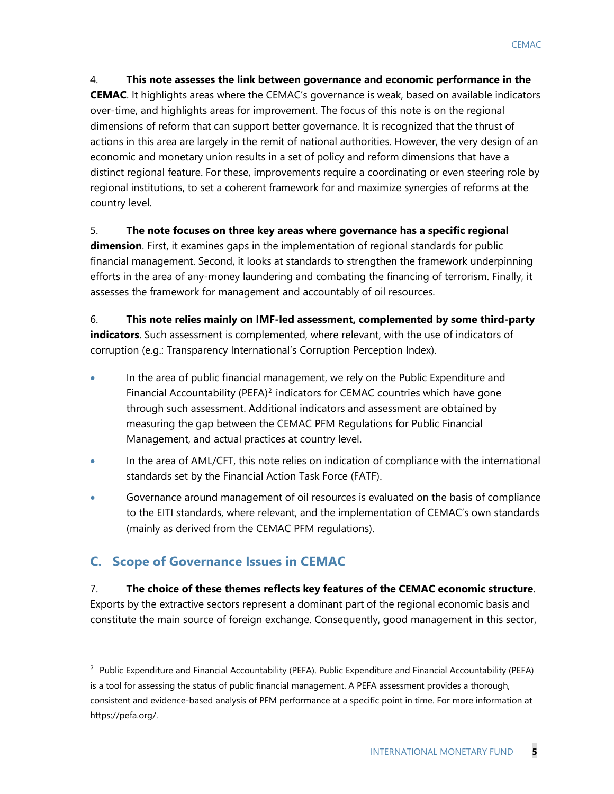#### 4. **This note assesses the link between governance and economic performance in the**

**CEMAC**. It highlights areas where the CEMAC's governance is weak, based on available indicators over-time, and highlights areas for improvement. The focus of this note is on the regional dimensions of reform that can support better governance. It is recognized that the thrust of actions in this area are largely in the remit of national authorities. However, the very design of an economic and monetary union results in a set of policy and reform dimensions that have a distinct regional feature. For these, improvements require a coordinating or even steering role by regional institutions, to set a coherent framework for and maximize synergies of reforms at the country level.

#### 5. **The note focuses on three key areas where governance has a specific regional**

**dimension**. First, it examines gaps in the implementation of regional standards for public financial management. Second, it looks at standards to strengthen the framework underpinning efforts in the area of any-money laundering and combating the financing of terrorism. Finally, it assesses the framework for management and accountably of oil resources.

6. **This note relies mainly on IMF-led assessment, complemented by some third-party indicators**. Such assessment is complemented, where relevant, with the use of indicators of corruption (e.g.: Transparency International's Corruption Perception Index).

- In the area of public financial management, we rely on the Public Expenditure and Financial Accountability (PEFA)<sup>[2](#page-5-0)</sup> indicators for CEMAC countries which have gone through such assessment. Additional indicators and assessment are obtained by measuring the gap between the CEMAC PFM Regulations for Public Financial Management, and actual practices at country level.
- In the area of AML/CFT, this note relies on indication of compliance with the international standards set by the Financial Action Task Force (FATF).
- Governance around management of oil resources is evaluated on the basis of compliance to the EITI standards, where relevant, and the implementation of CEMAC's own standards (mainly as derived from the CEMAC PFM regulations).

# **C. Scope of Governance Issues in CEMAC**

 $\ddot{ }$ 

## 7. **The choice of these themes reflects key features of the CEMAC economic structure**.

Exports by the extractive sectors represent a dominant part of the regional economic basis and constitute the main source of foreign exchange. Consequently, good management in this sector,

<span id="page-5-0"></span><sup>&</sup>lt;sup>2</sup> Public Expenditure and Financial Accountability (PEFA). Public Expenditure and Financial Accountability (PEFA) is a tool for assessing the status of public financial management. A PEFA assessment provides a thorough, consistent and evidence-based analysis of PFM performance at a specific point in time. For more information at [https://pefa.org/.](https://pefa.org/)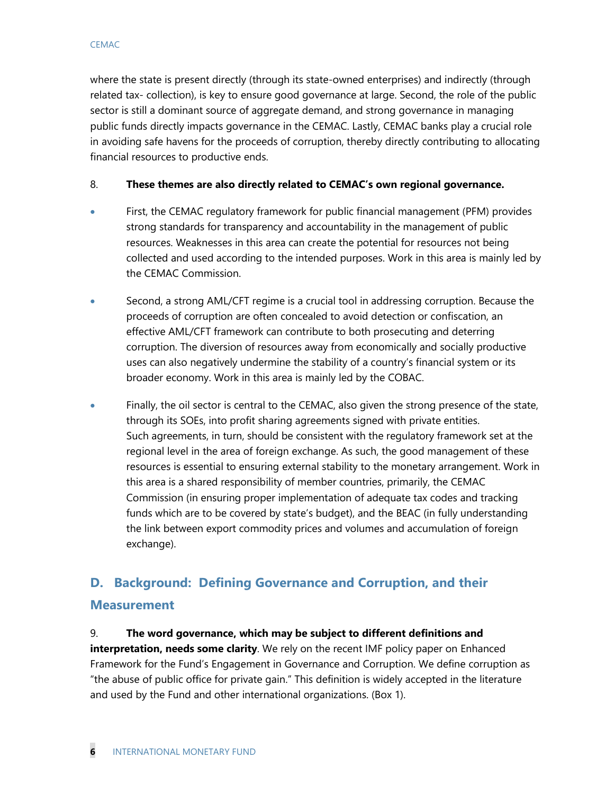where the state is present directly (through its state-owned enterprises) and indirectly (through related tax- collection), is key to ensure good governance at large. Second, the role of the public sector is still a dominant source of aggregate demand, and strong governance in managing public funds directly impacts governance in the CEMAC. Lastly, CEMAC banks play a crucial role in avoiding safe havens for the proceeds of corruption, thereby directly contributing to allocating financial resources to productive ends.

#### 8. **These themes are also directly related to CEMAC's own regional governance.**

- First, the CEMAC regulatory framework for public financial management (PFM) provides strong standards for transparency and accountability in the management of public resources. Weaknesses in this area can create the potential for resources not being collected and used according to the intended purposes. Work in this area is mainly led by the CEMAC Commission.
- Second, a strong AML/CFT regime is a crucial tool in addressing corruption. Because the proceeds of corruption are often concealed to avoid detection or confiscation, an effective AML/CFT framework can contribute to both prosecuting and deterring corruption. The diversion of resources away from economically and socially productive uses can also negatively undermine the stability of a country's financial system or its broader economy. Work in this area is mainly led by the COBAC.
- Finally, the oil sector is central to the CEMAC, also given the strong presence of the state, through its SOEs, into profit sharing agreements signed with private entities. Such agreements, in turn, should be consistent with the regulatory framework set at the regional level in the area of foreign exchange. As such, the good management of these resources is essential to ensuring external stability to the monetary arrangement. Work in this area is a shared responsibility of member countries, primarily, the CEMAC Commission (in ensuring proper implementation of adequate tax codes and tracking funds which are to be covered by state's budget), and the BEAC (in fully understanding the link between export commodity prices and volumes and accumulation of foreign exchange).

# **D. Background: Defining Governance and Corruption, and their Measurement**

## 9. **The word governance, which may be subject to different definitions and**

**interpretation, needs some clarity**. We rely on the recent IMF policy paper on Enhanced Framework for the Fund's Engagement in Governance and Corruption. We define corruption as "the abuse of public office for private gain." This definition is widely accepted in the literature and used by the Fund and other international organizations. (Box 1).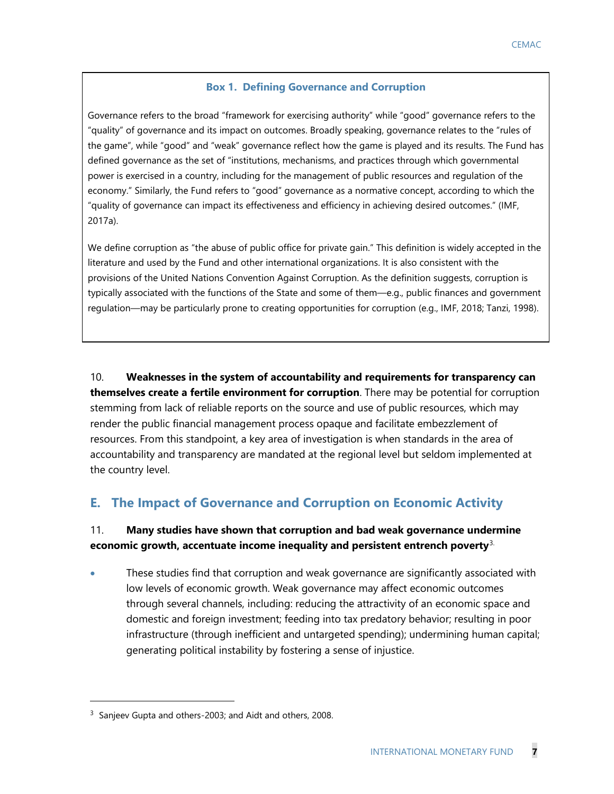#### **Box 1. Defining Governance and Corruption**

Governance refers to the broad "framework for exercising authority" while "good" governance refers to the "quality" of governance and its impact on outcomes. Broadly speaking, governance relates to the "rules of the game", while "good" and "weak" governance reflect how the game is played and its results. The Fund has defined governance as the set of "institutions, mechanisms, and practices through which governmental power is exercised in a country, including for the management of public resources and regulation of the economy." Similarly, the Fund refers to "good" governance as a normative concept, according to which the "quality of governance can impact its effectiveness and efficiency in achieving desired outcomes." (IMF, 2017a).

We define corruption as "the abuse of public office for private gain." This definition is widely accepted in the literature and used by the Fund and other international organizations. It is also consistent with the provisions of the United Nations Convention Against Corruption. As the definition suggests, corruption is typically associated with the functions of the State and some of them—e.g., public finances and government regulation—may be particularly prone to creating opportunities for corruption (e.g., IMF, 2018; Tanzi, 1998).

10. **Weaknesses in the system of accountability and requirements for transparency can themselves create a fertile environment for corruption**. There may be potential for corruption stemming from lack of reliable reports on the source and use of public resources, which may render the public financial management process opaque and facilitate embezzlement of resources. From this standpoint, a key area of investigation is when standards in the area of accountability and transparency are mandated at the regional level but seldom implemented at the country level.

# **E. The Impact of Governance and Corruption on Economic Activity**

## 11. **Many studies have shown that corruption and bad weak governance undermine economic growth, accentuate income inequality and persistent entrench poverty**[3.](#page-7-0)

• These studies find that corruption and weak governance are significantly associated with low levels of economic growth. Weak governance may affect economic outcomes through several channels, including: reducing the attractivity of an economic space and domestic and foreign investment; feeding into tax predatory behavior; resulting in poor infrastructure (through inefficient and untargeted spending); undermining human capital; generating political instability by fostering a sense of injustice.

 $\ddot{ }$ 

<span id="page-7-0"></span><sup>&</sup>lt;sup>3</sup> Sanjeev Gupta and others-2003; and Aidt and others, 2008.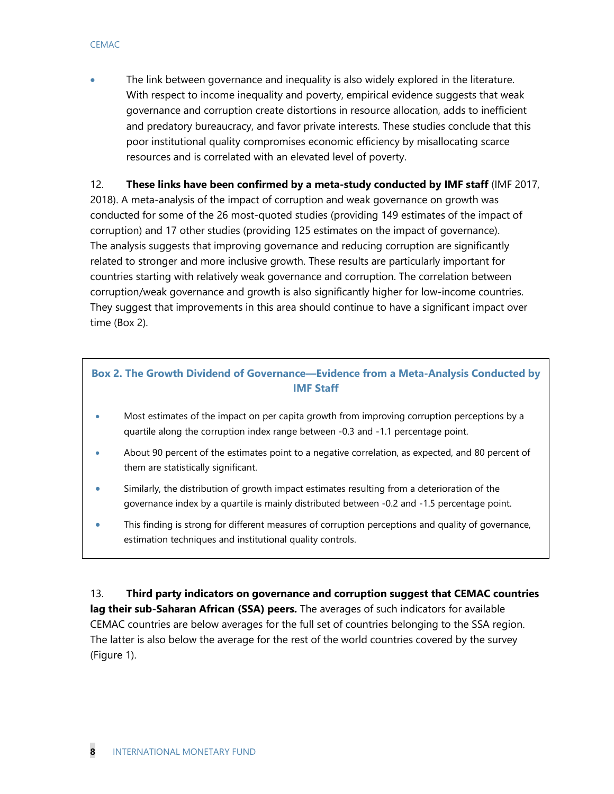The link between governance and inequality is also widely explored in the literature. With respect to income inequality and poverty, empirical evidence suggests that weak governance and corruption create distortions in resource allocation, adds to inefficient and predatory bureaucracy, and favor private interests. These studies conclude that this poor institutional quality compromises economic efficiency by misallocating scarce resources and is correlated with an elevated level of poverty.

## 12. **These links have been confirmed by a meta-study conducted by IMF staff** (IMF 2017,

2018). A meta-analysis of the impact of corruption and weak governance on growth was conducted for some of the 26 most-quoted studies (providing 149 estimates of the impact of corruption) and 17 other studies (providing 125 estimates on the impact of governance). The analysis suggests that improving governance and reducing corruption are significantly related to stronger and more inclusive growth. These results are particularly important for countries starting with relatively weak governance and corruption. The correlation between corruption/weak governance and growth is also significantly higher for low-income countries. They suggest that improvements in this area should continue to have a significant impact over time (Box 2).

## **Box 2. The Growth Dividend of Governance—Evidence from a Meta-Analysis Conducted by IMF Staff**

- Most estimates of the impact on per capita growth from improving corruption perceptions by a quartile along the corruption index range between -0.3 and -1.1 percentage point.
- About 90 percent of the estimates point to a negative correlation, as expected, and 80 percent of them are statistically significant.
- Similarly, the distribution of growth impact estimates resulting from a deterioration of the governance index by a quartile is mainly distributed between -0.2 and -1.5 percentage point.
- This finding is strong for different measures of corruption perceptions and quality of governance, estimation techniques and institutional quality controls.

13. **Third party indicators on governance and corruption suggest that CEMAC countries lag their sub-Saharan African (SSA) peers.** The averages of such indicators for available CEMAC countries are below averages for the full set of countries belonging to the SSA region. The latter is also below the average for the rest of the world countries covered by the survey (Figure 1).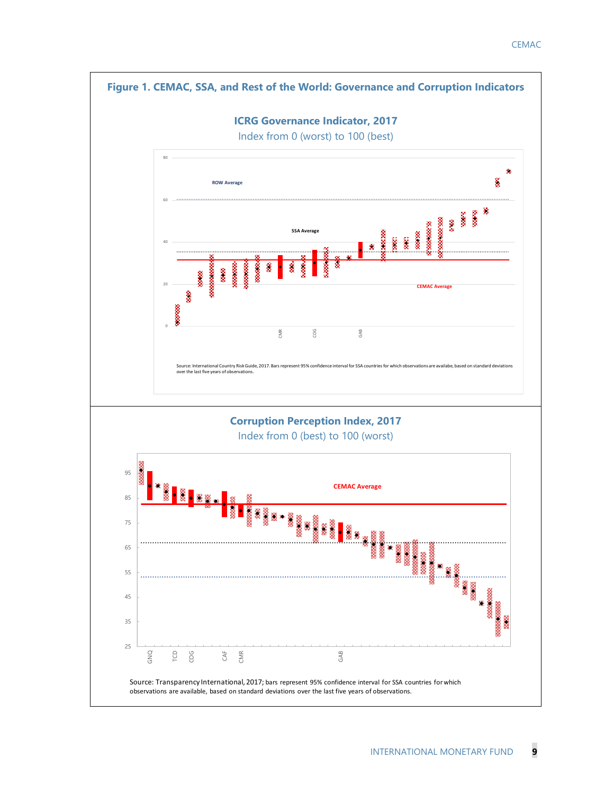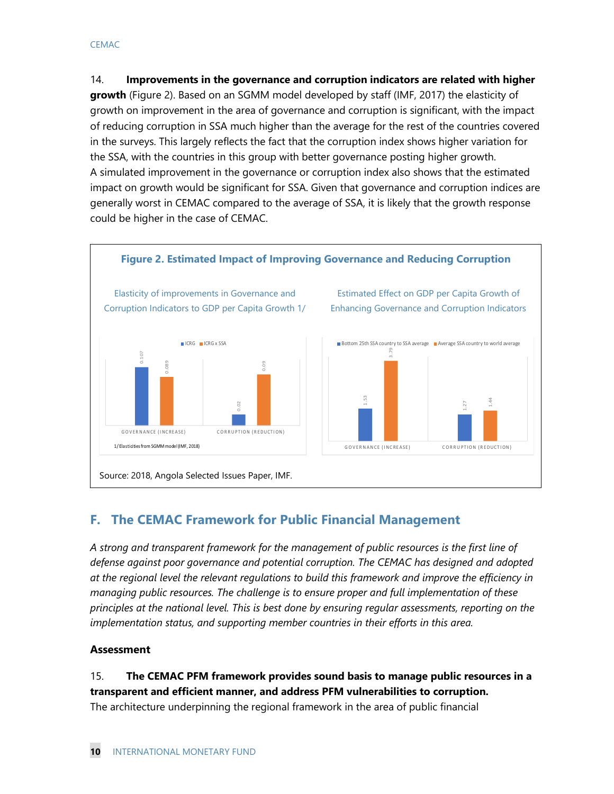14. **Improvements in the governance and corruption indicators are related with higher growth** (Figure 2). Based on an SGMM model developed by staff (IMF, 2017) the elasticity of growth on improvement in the area of governance and corruption is significant, with the impact of reducing corruption in SSA much higher than the average for the rest of the countries covered in the surveys. This largely reflects the fact that the corruption index shows higher variation for the SSA, with the countries in this group with better governance posting higher growth. A simulated improvement in the governance or corruption index also shows that the estimated impact on growth would be significant for SSA. Given that governance and corruption indices are generally worst in CEMAC compared to the average of SSA, it is likely that the growth response could be higher in the case of CEMAC.



# **F. The CEMAC Framework for Public Financial Management**

*A strong and transparent framework for the management of public resources is the first line of defense against poor governance and potential corruption. The CEMAC has designed and adopted at the regional level the relevant regulations to build this framework and improve the efficiency in managing public resources. The challenge is to ensure proper and full implementation of these principles at the national level. This is best done by ensuring regular assessments, reporting on the implementation status, and supporting member countries in their efforts in this area.*

## **Assessment**

15. **The CEMAC PFM framework provides sound basis to manage public resources in a transparent and efficient manner, and address PFM vulnerabilities to corruption.**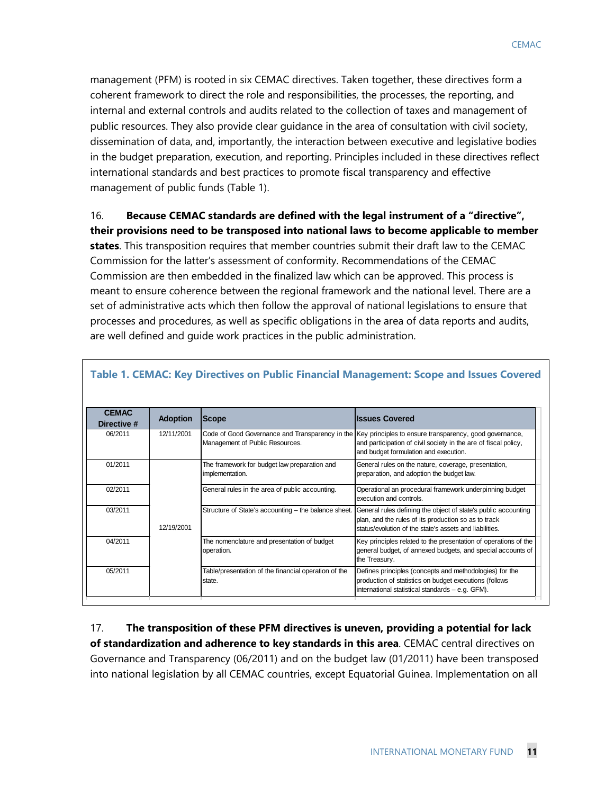management (PFM) is rooted in six CEMAC directives. Taken together, these directives form a coherent framework to direct the role and responsibilities, the processes, the reporting, and internal and external controls and audits related to the collection of taxes and management of public resources. They also provide clear guidance in the area of consultation with civil society, dissemination of data, and, importantly, the interaction between executive and legislative bodies in the budget preparation, execution, and reporting. Principles included in these directives reflect international standards and best practices to promote fiscal transparency and effective management of public funds (Table 1).

16. **Because CEMAC standards are defined with the legal instrument of a "directive", their provisions need to be transposed into national laws to become applicable to member states**. This transposition requires that member countries submit their draft law to the CEMAC Commission for the latter's assessment of conformity. Recommendations of the CEMAC Commission are then embedded in the finalized law which can be approved. This process is meant to ensure coherence between the regional framework and the national level. There are a set of administrative acts which then follow the approval of national legislations to ensure that processes and procedures, as well as specific obligations in the area of data reports and audits, are well defined and guide work practices in the public administration.

| <b>CEMAC</b><br>Directive # | <b>Adoption</b> | Scope                                                                              | <b>Issues Covered</b>                                                                                                                                                             |
|-----------------------------|-----------------|------------------------------------------------------------------------------------|-----------------------------------------------------------------------------------------------------------------------------------------------------------------------------------|
| 06/2011                     | 12/11/2001      | Code of Good Governance and Transparency in the<br>Management of Public Resources. | Key principles to ensure transparency, good governance,<br>and participation of civil society in the are of fiscal policy,<br>and budget formulation and execution.               |
| 01/2011                     |                 | The framework for budget law preparation and<br>implementation.                    | General rules on the nature, coverage, presentation,<br>preparation, and adoption the budget law.                                                                                 |
| 02/2011                     |                 | General rules in the area of public accounting.                                    | Operational an procedural framework underpinning budget<br>execution and controls.                                                                                                |
| 03/2011                     | 12/19/2001      | Structure of State's accounting - the balance sheet.                               | General rules defining the object of state's public accounting<br>plan, and the rules of its production so as to track<br>status/evolution of the state's assets and liabilities. |
| 04/2011                     |                 | The nomenclature and presentation of budget<br>operation.                          | Key principles related to the presentation of operations of the<br>general budget, of annexed budgets, and special accounts of<br>the Treasury.                                   |
| 05/2011                     |                 | Table/presentation of the financial operation of the<br>state.                     | Defines principles (concepts and methodologies) for the<br>production of statistics on budget executions (follows<br>international statistical standards - e.g. GFM).             |

**Table 1. CEMAC: Key Directives on Public Financial Management: Scope and Issues Covered**

17. **The transposition of these PFM directives is uneven, providing a potential for lack of standardization and adherence to key standards in this area**. CEMAC central directives on Governance and Transparency (06/2011) and on the budget law (01/2011) have been transposed into national legislation by all CEMAC countries, except Equatorial Guinea. Implementation on all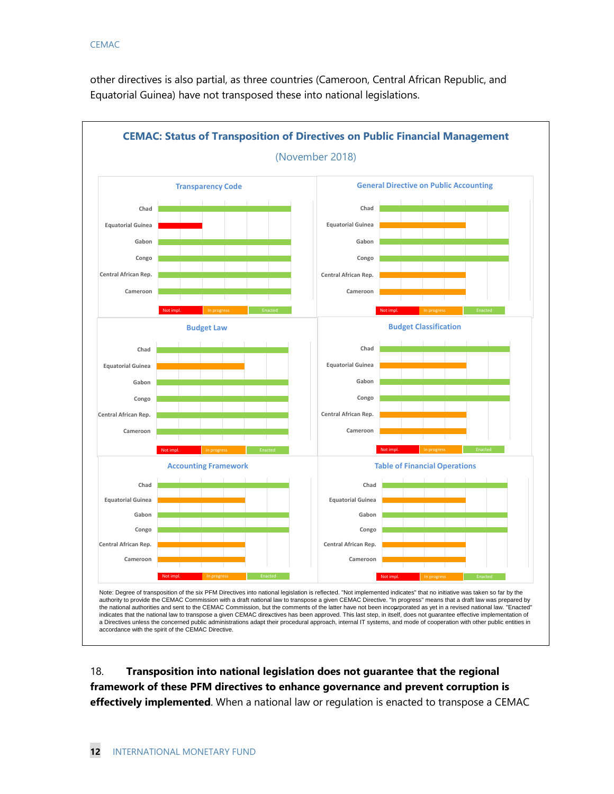other directives is also partial, as three countries (Cameroon, Central African Republic, and Equatorial Guinea) have not transposed these into national legislations.



18. **Transposition into national legislation does not guarantee that the regional framework of these PFM directives to enhance governance and prevent corruption is effectively implemented**. When a national law or regulation is enacted to transpose a CEMAC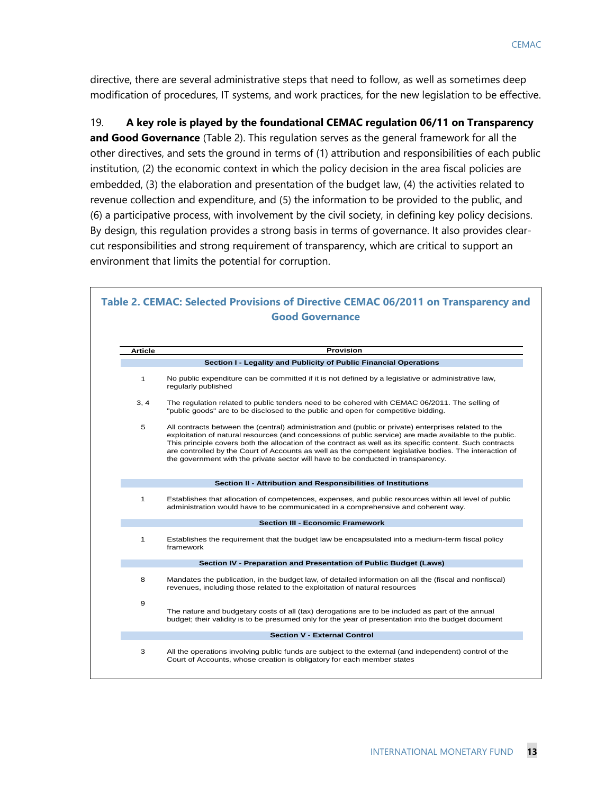directive, there are several administrative steps that need to follow, as well as sometimes deep modification of procedures, IT systems, and work practices, for the new legislation to be effective.

19. **A key role is played by the foundational CEMAC regulation 06/11 on Transparency and Good Governance** (Table 2). This regulation serves as the general framework for all the other directives, and sets the ground in terms of (1) attribution and responsibilities of each public institution, (2) the economic context in which the policy decision in the area fiscal policies are embedded, (3) the elaboration and presentation of the budget law, (4) the activities related to revenue collection and expenditure, and (5) the information to be provided to the public, and (6) a participative process, with involvement by the civil society, in defining key policy decisions. By design, this regulation provides a strong basis in terms of governance. It also provides clearcut responsibilities and strong requirement of transparency, which are critical to support an environment that limits the potential for corruption.

| <b>Good Governance</b>      |                                                                                                                                                                                                                                                                                                                                                                                                                                                                                                                               |  |  |  |  |
|-----------------------------|-------------------------------------------------------------------------------------------------------------------------------------------------------------------------------------------------------------------------------------------------------------------------------------------------------------------------------------------------------------------------------------------------------------------------------------------------------------------------------------------------------------------------------|--|--|--|--|
| <b>Provision</b><br>Article |                                                                                                                                                                                                                                                                                                                                                                                                                                                                                                                               |  |  |  |  |
|                             | Section I - Legality and Publicity of Public Financial Operations                                                                                                                                                                                                                                                                                                                                                                                                                                                             |  |  |  |  |
| 1                           | No public expenditure can be committed if it is not defined by a legislative or administrative law,<br>regularly published                                                                                                                                                                                                                                                                                                                                                                                                    |  |  |  |  |
| 3, 4                        | The regulation related to public tenders need to be cohered with CEMAC 06/2011. The selling of<br>"public goods" are to be disclosed to the public and open for competitive bidding.                                                                                                                                                                                                                                                                                                                                          |  |  |  |  |
| 5                           | All contracts between the (central) administration and (public or private) enterprises related to the<br>exploitation of natural resources (and concessions of public service) are made available to the public.<br>This principle covers both the allocation of the contract as well as its specific content. Such contracts<br>are controlled by the Court of Accounts as well as the competent legislative bodies. The interaction of<br>the government with the private sector will have to be conducted in transparency. |  |  |  |  |
|                             | Section II - Attribution and Responsibilities of Institutions                                                                                                                                                                                                                                                                                                                                                                                                                                                                 |  |  |  |  |
| 1                           | Establishes that allocation of competences, expenses, and public resources within all level of public<br>administration would have to be communicated in a comprehensive and coherent way.                                                                                                                                                                                                                                                                                                                                    |  |  |  |  |
|                             | <b>Section III - Economic Framework</b>                                                                                                                                                                                                                                                                                                                                                                                                                                                                                       |  |  |  |  |
| 1                           | Establishes the requirement that the budget law be encapsulated into a medium-term fiscal policy<br>framework                                                                                                                                                                                                                                                                                                                                                                                                                 |  |  |  |  |
|                             | Section IV - Preparation and Presentation of Public Budget (Laws)                                                                                                                                                                                                                                                                                                                                                                                                                                                             |  |  |  |  |
| 8                           | Mandates the publication, in the budget law, of detailed information on all the (fiscal and nonfiscal)<br>revenues, including those related to the exploitation of natural resources                                                                                                                                                                                                                                                                                                                                          |  |  |  |  |
| 9                           | The nature and budgetary costs of all (tax) derogations are to be included as part of the annual<br>budget; their validity is to be presumed only for the year of presentation into the budget document                                                                                                                                                                                                                                                                                                                       |  |  |  |  |
|                             | <b>Section V - External Control</b>                                                                                                                                                                                                                                                                                                                                                                                                                                                                                           |  |  |  |  |
| 3                           | All the operations involving public funds are subject to the external (and independent) control of the<br>Court of Accounts, whose creation is obligatory for each member states                                                                                                                                                                                                                                                                                                                                              |  |  |  |  |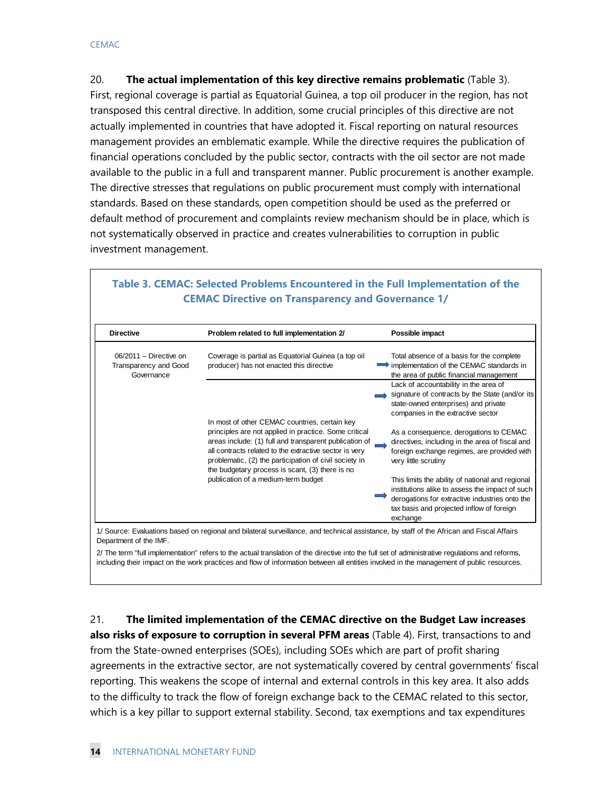20. **The actual implementation of this key directive remains problematic** (Table 3). First, regional coverage is partial as Equatorial Guinea, a top oil producer in the region, has not transposed this central directive. In addition, some crucial principles of this directive are not actually implemented in countries that have adopted it. Fiscal reporting on natural resources management provides an emblematic example. While the directive requires the publication of financial operations concluded by the public sector, contracts with the oil sector are not made available to the public in a full and transparent manner. Public procurement is another example. The directive stresses that regulations on public procurement must comply with international standards. Based on these standards, open competition should be used as the preferred or default method of procurement and complaints review mechanism should be in place, which is not systematically observed in practice and creates vulnerabilities to corruption in public investment management.

| <b>Directive</b>                                                | Problem related to full implementation 2/                                                                                                                                                                                                                                                                                               | Possible impact                                                                                                                                                                                                |
|-----------------------------------------------------------------|-----------------------------------------------------------------------------------------------------------------------------------------------------------------------------------------------------------------------------------------------------------------------------------------------------------------------------------------|----------------------------------------------------------------------------------------------------------------------------------------------------------------------------------------------------------------|
| $06/2011 -$ Directive on<br>Transparency and Good<br>Governance | Coverage is partial as Equatorial Guinea (a top oil<br>producer) has not enacted this directive                                                                                                                                                                                                                                         | Total absence of a basis for the complete<br>$\Rightarrow$ implementation of the CEMAC standards in<br>the area of public financial management                                                                 |
|                                                                 |                                                                                                                                                                                                                                                                                                                                         | Lack of accountability in the area of<br>signature of contracts by the State (and/or its<br>state-owned enterprises) and private<br>companies in the extractive sector                                         |
|                                                                 | In most of other CEMAC countries, certain key<br>principles are not applied in practice. Some critical<br>areas include: (1) full and transparent publication of<br>all contracts related to the extractive sector is very<br>problematic, (2) the participation of civil society in<br>the budgetary process is scant, (3) there is no | As a consequence, derogations to CEMAC<br>directives, including in the area of fiscal and<br>foreign exchange regimes, are provided with<br>very little scrutiny                                               |
|                                                                 | publication of a medium-term budget                                                                                                                                                                                                                                                                                                     | This limits the ability of national and regional<br>institutions alike to assess the impact of such<br>derogations for extractive industries onto the<br>tax basis and projected inflow of foreign<br>exchange |

## **Table 3. CEMAC: Selected Problems Encountered in the Full Implementation of the CEMAC Directive on Transparency and Governance 1/**

including their impact on the work practices and flow of information between all entities involved in the management of public resources.

21. **The limited implementation of the CEMAC directive on the Budget Law increases also risks of exposure to corruption in several PFM areas** (Table 4). First, transactions to and from the State-owned enterprises (SOEs), including SOEs which are part of profit sharing agreements in the extractive sector, are not systematically covered by central governments' fiscal reporting. This weakens the scope of internal and external controls in this key area. It also adds to the difficulty to track the flow of foreign exchange back to the CEMAC related to this sector, which is a key pillar to support external stability. Second, tax exemptions and tax expenditures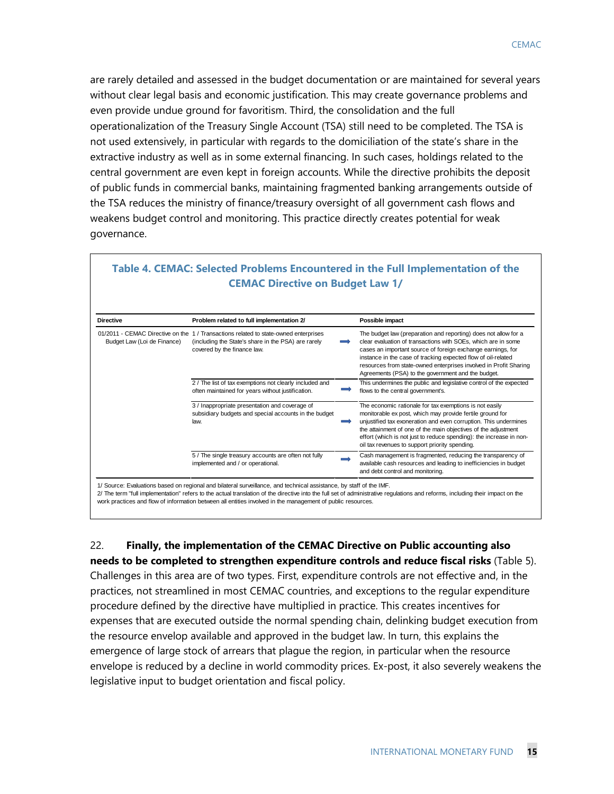are rarely detailed and assessed in the budget documentation or are maintained for several years without clear legal basis and economic justification. This may create governance problems and even provide undue ground for favoritism. Third, the consolidation and the full operationalization of the Treasury Single Account (TSA) still need to be completed. The TSA is not used extensively, in particular with regards to the domiciliation of the state's share in the extractive industry as well as in some external financing. In such cases, holdings related to the central government are even kept in foreign accounts. While the directive prohibits the deposit of public funds in commercial banks, maintaining fragmented banking arrangements outside of the TSA reduces the ministry of finance/treasury oversight of all government cash flows and weakens budget control and monitoring. This practice directly creates potential for weak governance.

| <b>Directive</b>            | Problem related to full implementation 2/                                                                                                                                  | Possible impact                                                                                                                                                                                                                                                                                                                                                                             |
|-----------------------------|----------------------------------------------------------------------------------------------------------------------------------------------------------------------------|---------------------------------------------------------------------------------------------------------------------------------------------------------------------------------------------------------------------------------------------------------------------------------------------------------------------------------------------------------------------------------------------|
| Budget Law (Loi de Finance) | 01/2011 - CEMAC Directive on the 1 / Transactions related to state-owned enterprises<br>(including the State's share in the PSA) are rarely<br>covered by the finance law. | The budget law (preparation and reporting) does not allow for a<br>clear evaluation of transactions with SOEs, which are in some<br>cases an important source of foreign exchange earnings, for<br>instance in the case of tracking expected flow of oil-related<br>resources from state-owned enterprises involved in Profit Sharing<br>Agreements (PSA) to the government and the budget. |
|                             | 2 / The list of tax exemptions not clearly included and<br>often maintained for years without justification.                                                               | This undermines the public and legislative control of the expected<br>flows to the central government's.                                                                                                                                                                                                                                                                                    |
|                             | 3 / Inappropriate presentation and coverage of<br>subsidiary budgets and special accounts in the budget<br>law.                                                            | The economic rationale for tax exemptions is not easily<br>monitorable ex post, which may provide fertile ground for<br>unjustified tax exoneration and even corruption. This undermines<br>the attainment of one of the main objectives of the adjustment<br>effort (which is not just to reduce spending): the increase in non-<br>oil tax revenues to support priority spending.         |
|                             | 5 / The single treasury accounts are often not fully<br>implemented and / or operational.                                                                                  | Cash management is fragmented, reducing the transparency of<br>available cash resources and leading to inefficiencies in budget<br>and debt control and monitoring.                                                                                                                                                                                                                         |

## **Table 4. CEMAC: Selected Problems Encountered in the Full Implementation of the CEMAC Directive on Budget Law 1/**

22. **Finally, the implementation of the CEMAC Directive on Public accounting also needs to be completed to strengthen expenditure controls and reduce fiscal risks** (Table 5).

Challenges in this area are of two types. First, expenditure controls are not effective and, in the practices, not streamlined in most CEMAC countries, and exceptions to the regular expenditure procedure defined by the directive have multiplied in practice. This creates incentives for expenses that are executed outside the normal spending chain, delinking budget execution from the resource envelop available and approved in the budget law. In turn, this explains the emergence of large stock of arrears that plague the region, in particular when the resource envelope is reduced by a decline in world commodity prices. Ex-post, it also severely weakens the legislative input to budget orientation and fiscal policy.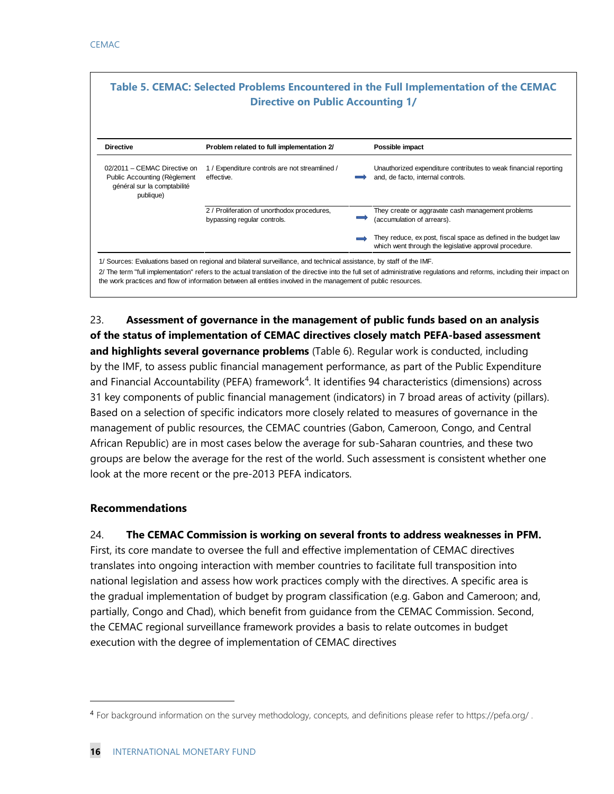| Table 5. CEMAC: Selected Problems Encountered in the Full Implementation of the CEMAC<br><b>Directive on Public Accounting 1/</b> |                                                                                                                                                                                                                                         |  |                                                                                                                                                                            |  |  |  |  |
|-----------------------------------------------------------------------------------------------------------------------------------|-----------------------------------------------------------------------------------------------------------------------------------------------------------------------------------------------------------------------------------------|--|----------------------------------------------------------------------------------------------------------------------------------------------------------------------------|--|--|--|--|
| <b>Directive</b>                                                                                                                  | Problem related to full implementation 2/                                                                                                                                                                                               |  | Possible impact                                                                                                                                                            |  |  |  |  |
| 02/2011 - CEMAC Directive on<br>Public Accounting (Règlement<br>général sur la comptabilité<br>publique)                          | 1 / Expenditure controls are not streamlined /<br>effective.                                                                                                                                                                            |  | Unauthorized expenditure contributes to weak financial reporting<br>and, de facto, internal controls.                                                                      |  |  |  |  |
|                                                                                                                                   | 2 / Proliferation of unorthodox procedures,<br>bypassing regular controls.                                                                                                                                                              |  | They create or aggravate cash management problems<br>(accumulation of arrears).                                                                                            |  |  |  |  |
|                                                                                                                                   |                                                                                                                                                                                                                                         |  | They reduce, ex post, fiscal space as defined in the budget law<br>which went through the legislative approval procedure.                                                  |  |  |  |  |
|                                                                                                                                   | 1/ Sources: Evaluations based on regional and bilateral surveillance, and technical assistance, by staff of the IMF.<br>the work practices and flow of information between all entities involved in the management of public resources. |  | 2/ The term "full implementation" refers to the actual translation of the directive into the full set of administrative regulations and reforms, including their impact on |  |  |  |  |

23. **Assessment of governance in the management of public funds based on an analysis of the status of implementation of CEMAC directives closely match PEFA-based assessment and highlights several governance problems** (Table 6). Regular work is conducted, including by the IMF, to assess public financial management performance, as part of the Public Expenditure and Financial Accountability (PEFA) framework<sup>[4](#page-16-0)</sup>. It identifies 94 characteristics (dimensions) across 31 key components of public financial management (indicators) in 7 broad areas of activity (pillars). Based on a selection of specific indicators more closely related to measures of governance in the management of public resources, the CEMAC countries (Gabon, Cameroon, Congo, and Central African Republic) are in most cases below the average for sub-Saharan countries, and these two groups are below the average for the rest of the world. Such assessment is consistent whether one look at the more recent or the pre-2013 PEFA indicators.

## **Recommendations**

 $\ddot{ }$ 

24. **The CEMAC Commission is working on several fronts to address weaknesses in PFM.** First, its core mandate to oversee the full and effective implementation of CEMAC directives translates into ongoing interaction with member countries to facilitate full transposition into national legislation and assess how work practices comply with the directives. A specific area is the gradual implementation of budget by program classification (e.g. Gabon and Cameroon; and, partially, Congo and Chad), which benefit from guidance from the CEMAC Commission. Second, the CEMAC regional surveillance framework provides a basis to relate outcomes in budget execution with the degree of implementation of CEMAC directives

<span id="page-16-0"></span><sup>4</sup> For background information on the survey methodology, concepts, and definitions please refer to https://pefa.org/ .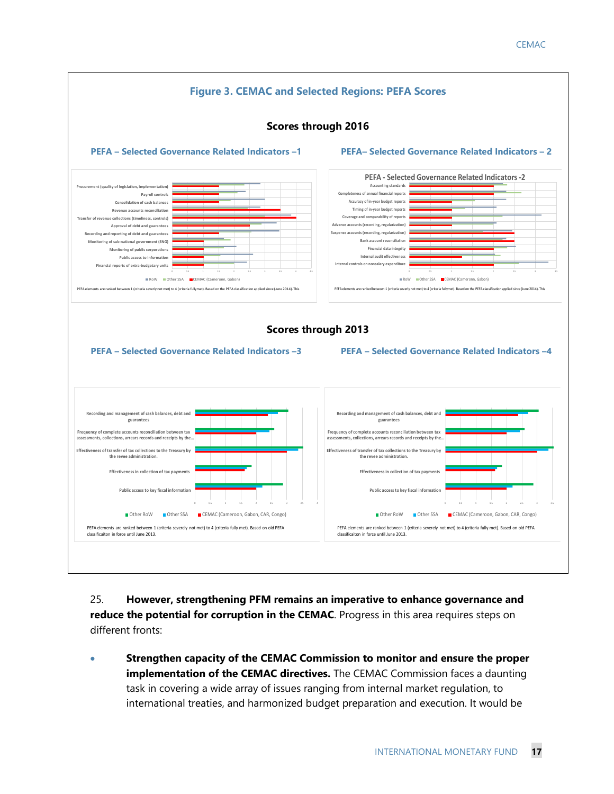![](_page_17_Figure_1.jpeg)

25. **However, strengthening PFM remains an imperative to enhance governance and reduce the potential for corruption in the CEMAC**. Progress in this area requires steps on different fronts:

• **Strengthen capacity of the CEMAC Commission to monitor and ensure the proper implementation of the CEMAC directives.** The CEMAC Commission faces a daunting task in covering a wide array of issues ranging from internal market regulation, to international treaties, and harmonized budget preparation and execution. It would be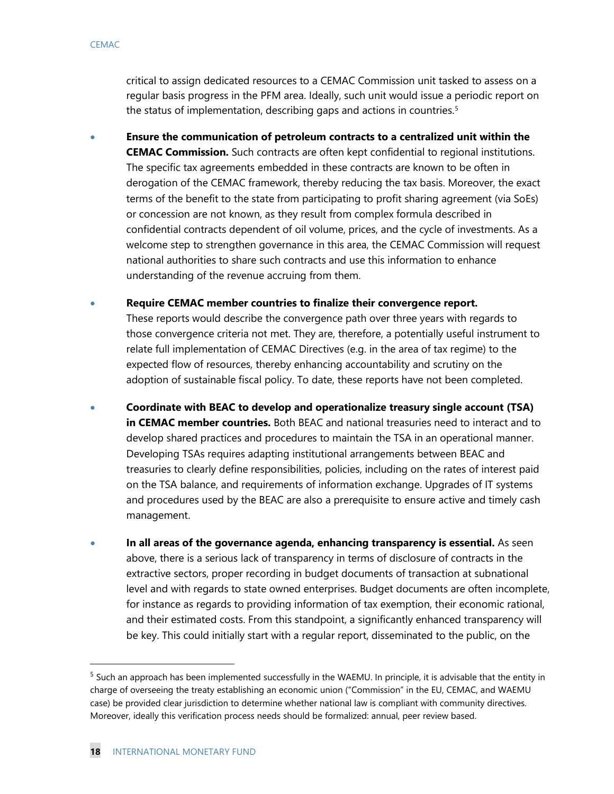critical to assign dedicated resources to a CEMAC Commission unit tasked to assess on a regular basis progress in the PFM area. Ideally, such unit would issue a periodic report on the status of implementation, describing gaps and actions in countries.<sup>[5](#page-18-0)</sup>

- **Ensure the communication of petroleum contracts to a centralized unit within the CEMAC Commission.** Such contracts are often kept confidential to regional institutions. The specific tax agreements embedded in these contracts are known to be often in derogation of the CEMAC framework, thereby reducing the tax basis. Moreover, the exact terms of the benefit to the state from participating to profit sharing agreement (via SoEs) or concession are not known, as they result from complex formula described in confidential contracts dependent of oil volume, prices, and the cycle of investments. As a welcome step to strengthen governance in this area, the CEMAC Commission will request national authorities to share such contracts and use this information to enhance understanding of the revenue accruing from them.
- **Require CEMAC member countries to finalize their convergence report.** These reports would describe the convergence path over three years with regards to those convergence criteria not met. They are, therefore, a potentially useful instrument to relate full implementation of CEMAC Directives (e.g. in the area of tax regime) to the expected flow of resources, thereby enhancing accountability and scrutiny on the adoption of sustainable fiscal policy. To date, these reports have not been completed.
- **Coordinate with BEAC to develop and operationalize treasury single account (TSA) in CEMAC member countries.** Both BEAC and national treasuries need to interact and to develop shared practices and procedures to maintain the TSA in an operational manner. Developing TSAs requires adapting institutional arrangements between BEAC and treasuries to clearly define responsibilities, policies, including on the rates of interest paid on the TSA balance, and requirements of information exchange. Upgrades of IT systems and procedures used by the BEAC are also a prerequisite to ensure active and timely cash management.
- **In all areas of the governance agenda, enhancing transparency is essential.** As seen above, there is a serious lack of transparency in terms of disclosure of contracts in the extractive sectors, proper recording in budget documents of transaction at subnational level and with regards to state owned enterprises. Budget documents are often incomplete, for instance as regards to providing information of tax exemption, their economic rational, and their estimated costs. From this standpoint, a significantly enhanced transparency will be key. This could initially start with a regular report, disseminated to the public, on the

<span id="page-18-0"></span> $5$  Such an approach has been implemented successfully in the WAEMU. In principle, it is advisable that the entity in charge of overseeing the treaty establishing an economic union ("Commission" in the EU, CEMAC, and WAEMU case) be provided clear jurisdiction to determine whether national law is compliant with community directives. Moreover, ideally this verification process needs should be formalized: annual, peer review based.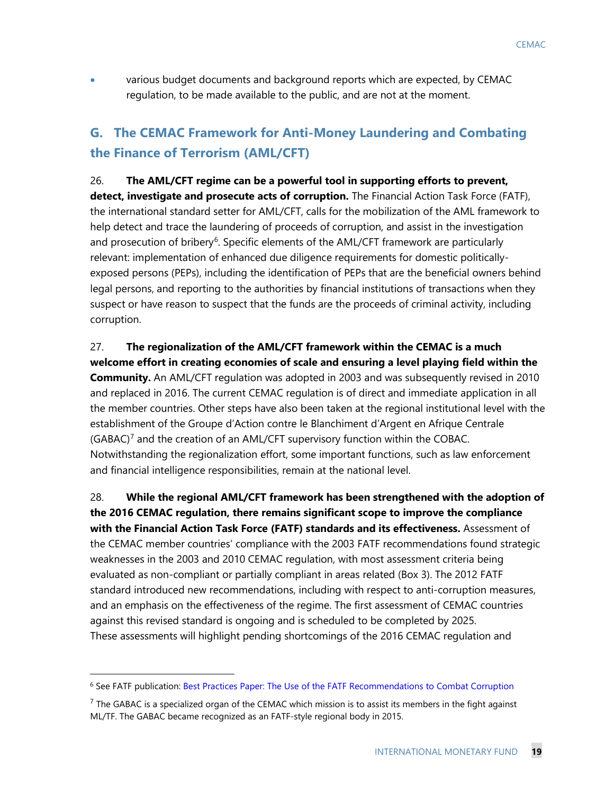• various budget documents and background reports which are expected, by CEMAC regulation, to be made available to the public, and are not at the moment.

# **G. The CEMAC Framework for Anti-Money Laundering and Combating the Finance of Terrorism (AML/CFT)**

26. **The AML/CFT regime can be a powerful tool in supporting efforts to prevent, detect, investigate and prosecute acts of corruption.** The Financial Action Task Force (FATF), the international standard setter for AML/CFT, calls for the mobilization of the AML framework to help detect and trace the laundering of proceeds of corruption, and assist in the investigation and prosecution of bribery<sup>[6](#page-19-0)</sup>. Specific elements of the AML/CFT framework are particularly relevant: implementation of enhanced due diligence requirements for domestic politicallyexposed persons (PEPs), including the identification of PEPs that are the beneficial owners behind legal persons, and reporting to the authorities by financial institutions of transactions when they suspect or have reason to suspect that the funds are the proceeds of criminal activity, including corruption.

27. **The regionalization of the AML/CFT framework within the CEMAC is a much welcome effort in creating economies of scale and ensuring a level playing field within the Community.** An AML/CFT regulation was adopted in 2003 and was subsequently revised in 2010 and replaced in 2016. The current CEMAC regulation is of direct and immediate application in all the member countries. Other steps have also been taken at the regional institutional level with the establishment of the Groupe d'Action contre le Blanchiment d'Argent en Afrique Centrale (GABAC)[7](#page-19-1) and the creation of an AML/CFT supervisory function within the COBAC. Notwithstanding the regionalization effort, some important functions, such as law enforcement and financial intelligence responsibilities, remain at the national level.

28. **While the regional AML/CFT framework has been strengthened with the adoption of the 2016 CEMAC regulation, there remains significant scope to improve the compliance with the Financial Action Task Force (FATF) standards and its effectiveness.** Assessment of the CEMAC member countries' compliance with the 2003 FATF recommendations found strategic weaknesses in the 2003 and 2010 CEMAC regulation, with most assessment criteria being evaluated as non-compliant or partially compliant in areas related (Box 3). The 2012 FATF standard introduced new recommendations, including with respect to anti-corruption measures, and an emphasis on the effectiveness of the regime. The first assessment of CEMAC countries against this revised standard is ongoing and is scheduled to be completed by 2025. These assessments will highlight pending shortcomings of the 2016 CEMAC regulation and

 $\ddot{ }$ 

<span id="page-19-0"></span><sup>6</sup> See FATF publication: [Best Practices Paper: The Use of the FATF Recommendations to Combat Corruption](http://www.fatf-gafi.org/publications/corruption/documents/bpp-fatfrecs-corruption.html)

<span id="page-19-1"></span> $<sup>7</sup>$  The GABAC is a specialized organ of the CEMAC which mission is to assist its members in the fight against</sup> ML/TF. The GABAC became recognized as an FATF-style regional body in 2015.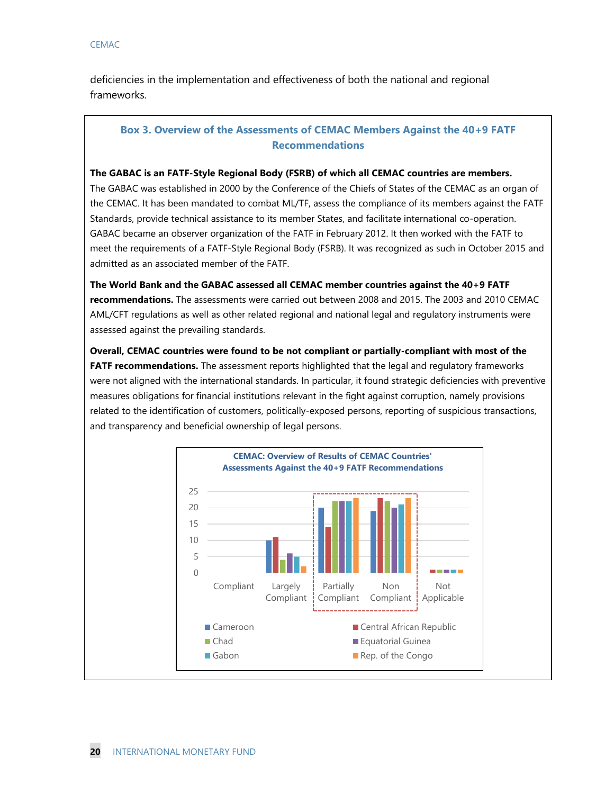deficiencies in the implementation and effectiveness of both the national and regional frameworks.

## **Box 3. Overview of the Assessments of CEMAC Members Against the 40+9 FATF Recommendations**

#### **The GABAC is an FATF-Style Regional Body (FSRB) of which all CEMAC countries are members.**

The GABAC was established in 2000 by the Conference of the Chiefs of States of the CEMAC as an organ of the CEMAC. It has been mandated to combat ML/TF, assess the compliance of its members against the FATF Standards, provide technical assistance to its member States, and facilitate international co-operation. GABAC became an observer organization of the FATF in February 2012. It then worked with the FATF to meet the requirements of a FATF-Style Regional Body (FSRB). It was recognized as such in October 2015 and admitted as an associated member of the FATF.

**The World Bank and the GABAC assessed all CEMAC member countries against the 40+9 FATF recommendations.** The assessments were carried out between 2008 and 2015. The 2003 and 2010 CEMAC AML/CFT regulations as well as other related regional and national legal and regulatory instruments were assessed against the prevailing standards.

**Overall, CEMAC countries were found to be not compliant or partially-compliant with most of the FATF recommendations.** The assessment reports highlighted that the legal and regulatory frameworks were not aligned with the international standards. In particular, it found strategic deficiencies with preventive measures obligations for financial institutions relevant in the fight against corruption, namely provisions related to the identification of customers, politically-exposed persons, reporting of suspicious transactions, and transparency and beneficial ownership of legal persons.

![](_page_20_Figure_7.jpeg)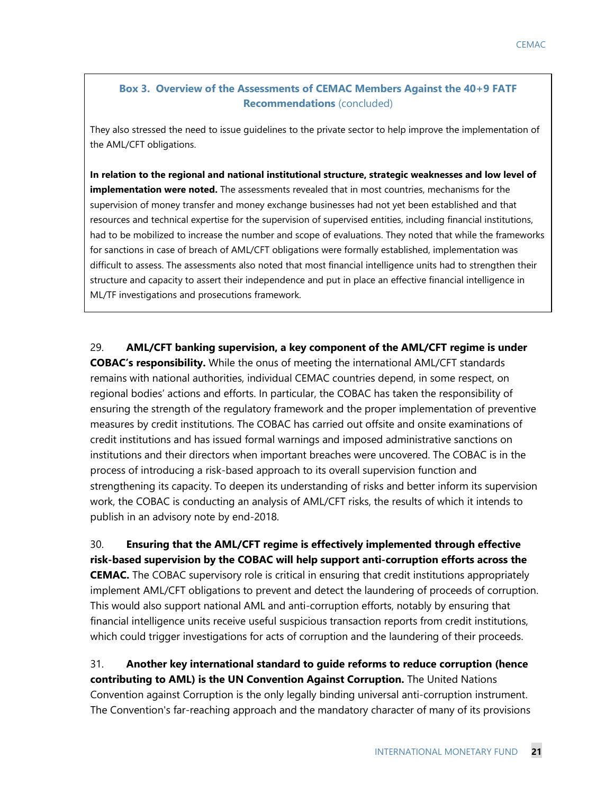## **Box 3. Overview of the Assessments of CEMAC Members Against the 40+9 FATF Recommendations** (concluded)

They also stressed the need to issue guidelines to the private sector to help improve the implementation of the AML/CFT obligations.

**In relation to the regional and national institutional structure, strategic weaknesses and low level of implementation were noted.** The assessments revealed that in most countries, mechanisms for the supervision of money transfer and money exchange businesses had not yet been established and that resources and technical expertise for the supervision of supervised entities, including financial institutions, had to be mobilized to increase the number and scope of evaluations. They noted that while the frameworks for sanctions in case of breach of AML/CFT obligations were formally established, implementation was difficult to assess. The assessments also noted that most financial intelligence units had to strengthen their structure and capacity to assert their independence and put in place an effective financial intelligence in ML/TF investigations and prosecutions framework.

29. **AML/CFT banking supervision, a key component of the AML/CFT regime is under COBAC's responsibility.** While the onus of meeting the international AML/CFT standards remains with national authorities, individual CEMAC countries depend, in some respect, on regional bodies' actions and efforts. In particular, the COBAC has taken the responsibility of ensuring the strength of the regulatory framework and the proper implementation of preventive measures by credit institutions. The COBAC has carried out offsite and onsite examinations of credit institutions and has issued formal warnings and imposed administrative sanctions on institutions and their directors when important breaches were uncovered. The COBAC is in the process of introducing a risk-based approach to its overall supervision function and strengthening its capacity. To deepen its understanding of risks and better inform its supervision work, the COBAC is conducting an analysis of AML/CFT risks, the results of which it intends to publish in an advisory note by end-2018.

30. **Ensuring that the AML/CFT regime is effectively implemented through effective risk-based supervision by the COBAC will help support anti-corruption efforts across the CEMAC.** The COBAC supervisory role is critical in ensuring that credit institutions appropriately implement AML/CFT obligations to prevent and detect the laundering of proceeds of corruption. This would also support national AML and anti-corruption efforts, notably by ensuring that financial intelligence units receive useful suspicious transaction reports from credit institutions, which could trigger investigations for acts of corruption and the laundering of their proceeds.

31. **Another key international standard to guide reforms to reduce corruption (hence contributing to AML) is the UN Convention Against Corruption.** The United Nations Convention against Corruption is the only legally binding universal anti-corruption instrument. The Convention's far-reaching approach and the mandatory character of many of its provisions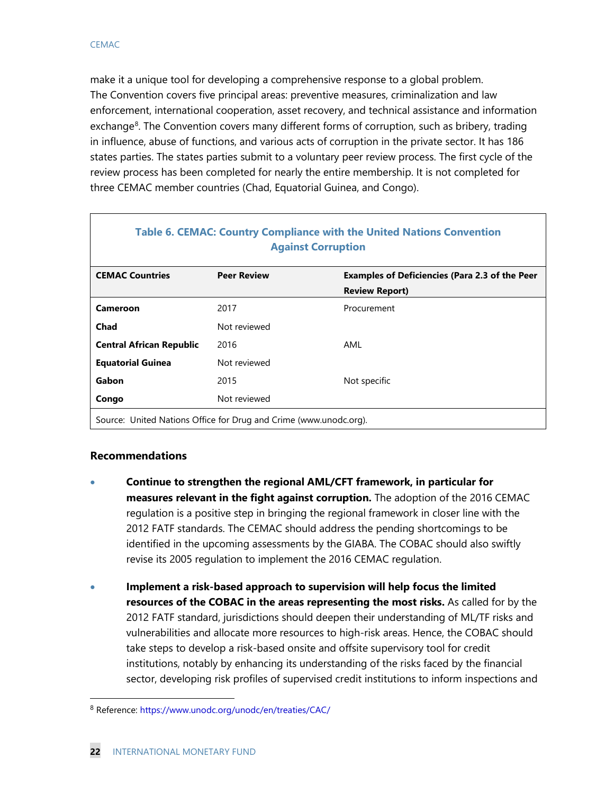make it a unique tool for developing a comprehensive response to a global problem. The Convention covers five principal areas: preventive measures, criminalization and law enforcement, international cooperation, asset recovery, and technical assistance and information exchange<sup>[8](#page-22-0)</sup>. The Convention covers many different forms of corruption, such as bribery, trading in influence, abuse of functions, and various acts of corruption in the private sector. It has 186 states parties. The states parties submit to a voluntary peer review process. The first cycle of the review process has been completed for nearly the entire membership. It is not completed for three CEMAC member countries (Chad, Equatorial Guinea, and Congo).

| <b>Table 6. CEMAC: Country Compliance with the United Nations Convention</b><br><b>Against Corruption</b> |                    |                                                       |  |  |  |
|-----------------------------------------------------------------------------------------------------------|--------------------|-------------------------------------------------------|--|--|--|
| <b>CEMAC Countries</b>                                                                                    | <b>Peer Review</b> | <b>Examples of Deficiencies (Para 2.3 of the Peer</b> |  |  |  |
|                                                                                                           |                    | <b>Review Report)</b>                                 |  |  |  |
| Cameroon                                                                                                  | 2017               | Procurement                                           |  |  |  |
| Chad                                                                                                      | Not reviewed       |                                                       |  |  |  |
| <b>Central African Republic</b>                                                                           | 2016               | AML                                                   |  |  |  |
| <b>Equatorial Guinea</b>                                                                                  | Not reviewed       |                                                       |  |  |  |
| Gabon                                                                                                     | 2015               | Not specific                                          |  |  |  |
| Congo                                                                                                     | Not reviewed       |                                                       |  |  |  |
| Source: United Nations Office for Drug and Crime (www.unodc.org).                                         |                    |                                                       |  |  |  |

## **Recommendations**

- **Continue to strengthen the regional AML/CFT framework, in particular for measures relevant in the fight against corruption.** The adoption of the 2016 CEMAC regulation is a positive step in bringing the regional framework in closer line with the 2012 FATF standards. The CEMAC should address the pending shortcomings to be identified in the upcoming assessments by the GIABA. The COBAC should also swiftly revise its 2005 regulation to implement the 2016 CEMAC regulation.
- **Implement a risk-based approach to supervision will help focus the limited resources of the COBAC in the areas representing the most risks.** As called for by the 2012 FATF standard, jurisdictions should deepen their understanding of ML/TF risks and vulnerabilities and allocate more resources to high-risk areas. Hence, the COBAC should take steps to develop a risk-based onsite and offsite supervisory tool for credit institutions, notably by enhancing its understanding of the risks faced by the financial sector, developing risk profiles of supervised credit institutions to inform inspections and

<span id="page-22-0"></span> <sup>8</sup> Reference:<https://www.unodc.org/unodc/en/treaties/CAC/>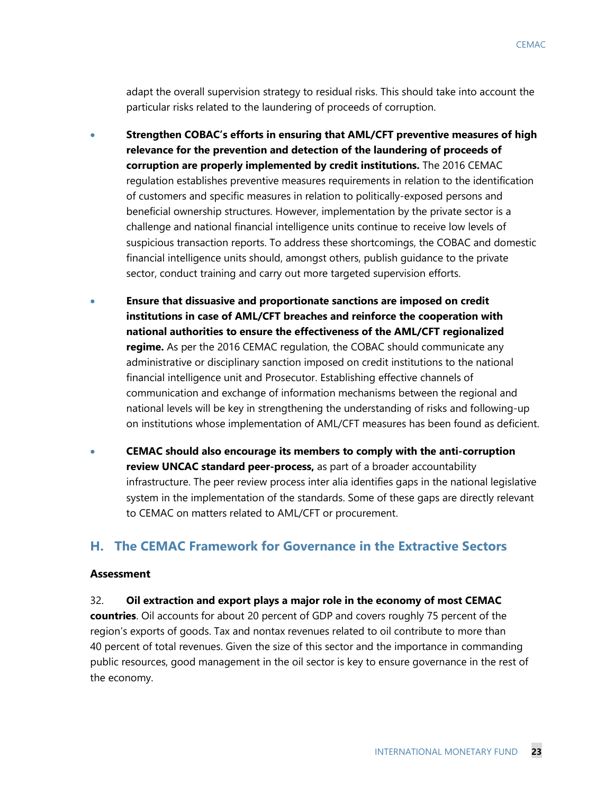adapt the overall supervision strategy to residual risks. This should take into account the particular risks related to the laundering of proceeds of corruption.

- **Strengthen COBAC's efforts in ensuring that AML/CFT preventive measures of high relevance for the prevention and detection of the laundering of proceeds of corruption are properly implemented by credit institutions.** The 2016 CEMAC regulation establishes preventive measures requirements in relation to the identification of customers and specific measures in relation to politically-exposed persons and beneficial ownership structures. However, implementation by the private sector is a challenge and national financial intelligence units continue to receive low levels of suspicious transaction reports. To address these shortcomings, the COBAC and domestic financial intelligence units should, amongst others, publish guidance to the private sector, conduct training and carry out more targeted supervision efforts.
- **Ensure that dissuasive and proportionate sanctions are imposed on credit institutions in case of AML/CFT breaches and reinforce the cooperation with national authorities to ensure the effectiveness of the AML/CFT regionalized regime.** As per the 2016 CEMAC regulation, the COBAC should communicate any administrative or disciplinary sanction imposed on credit institutions to the national financial intelligence unit and Prosecutor. Establishing effective channels of communication and exchange of information mechanisms between the regional and national levels will be key in strengthening the understanding of risks and following-up on institutions whose implementation of AML/CFT measures has been found as deficient.
- **CEMAC should also encourage its members to comply with the anti-corruption review UNCAC standard peer-process,** as part of a broader accountability infrastructure. The peer review process inter alia identifies gaps in the national legislative system in the implementation of the standards. Some of these gaps are directly relevant to CEMAC on matters related to AML/CFT or procurement.

## **H. The CEMAC Framework for Governance in the Extractive Sectors**

#### **Assessment**

32. **Oil extraction and export plays a major role in the economy of most CEMAC** 

**countries**. Oil accounts for about 20 percent of GDP and covers roughly 75 percent of the region's exports of goods. Tax and nontax revenues related to oil contribute to more than 40 percent of total revenues. Given the size of this sector and the importance in commanding public resources, good management in the oil sector is key to ensure governance in the rest of the economy.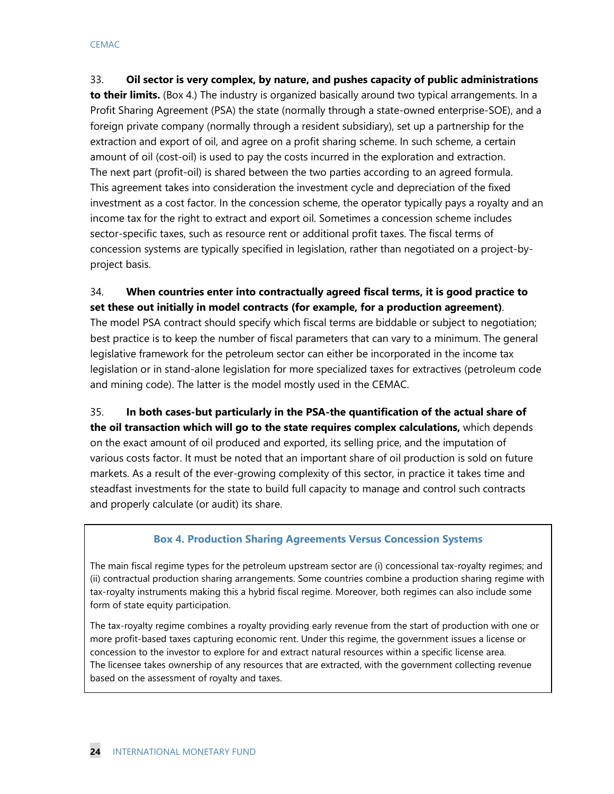33. **Oil sector is very complex, by nature, and pushes capacity of public administrations to their limits.** (Box 4.) The industry is organized basically around two typical arrangements. In a Profit Sharing Agreement (PSA) the state (normally through a state-owned enterprise-SOE), and a foreign private company (normally through a resident subsidiary), set up a partnership for the extraction and export of oil, and agree on a profit sharing scheme. In such scheme, a certain amount of oil (cost-oil) is used to pay the costs incurred in the exploration and extraction. The next part (profit-oil) is shared between the two parties according to an agreed formula. This agreement takes into consideration the investment cycle and depreciation of the fixed investment as a cost factor. In the concession scheme, the operator typically pays a royalty and an income tax for the right to extract and export oil. Sometimes a concession scheme includes sector-specific taxes, such as resource rent or additional profit taxes. The fiscal terms of concession systems are typically specified in legislation, rather than negotiated on a project-byproject basis.

## 34. **When countries enter into contractually agreed fiscal terms, it is good practice to set these out initially in model contracts (for example, for a production agreement)**.

The model PSA contract should specify which fiscal terms are biddable or subject to negotiation; best practice is to keep the number of fiscal parameters that can vary to a minimum. The general legislative framework for the petroleum sector can either be incorporated in the income tax legislation or in stand-alone legislation for more specialized taxes for extractives (petroleum code and mining code). The latter is the model mostly used in the CEMAC.

35. **In both cases-but particularly in the PSA-the quantification of the actual share of the oil transaction which will go to the state requires complex calculations,** which depends on the exact amount of oil produced and exported, its selling price, and the imputation of various costs factor. It must be noted that an important share of oil production is sold on future markets. As a result of the ever-growing complexity of this sector, in practice it takes time and steadfast investments for the state to build full capacity to manage and control such contracts and properly calculate (or audit) its share.

## **Box 4. Production Sharing Agreements Versus Concession Systems**

The main fiscal regime types for the petroleum upstream sector are (i) concessional tax-royalty regimes; and (ii) contractual production sharing arrangements. Some countries combine a production sharing regime with tax-royalty instruments making this a hybrid fiscal regime. Moreover, both regimes can also include some form of state equity participation.

The tax-royalty regime combines a royalty providing early revenue from the start of production with one or more profit-based taxes capturing economic rent. Under this regime, the government issues a license or concession to the investor to explore for and extract natural resources within a specific license area. The licensee takes ownership of any resources that are extracted, with the government collecting revenue based on the assessment of royalty and taxes.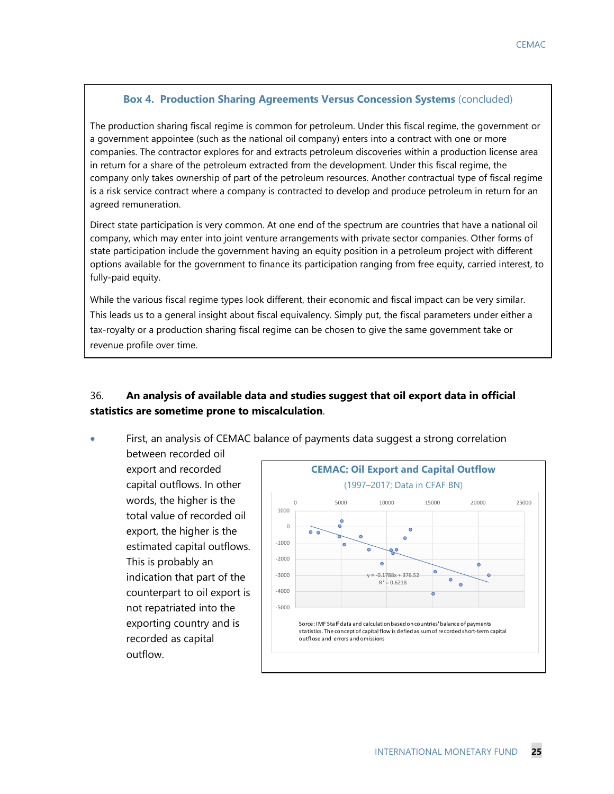#### **Box 4. Production Sharing Agreements Versus Concession Systems** (concluded)

The production sharing fiscal regime is common for petroleum. Under this fiscal regime, the government or a government appointee (such as the national oil company) enters into a contract with one or more companies. The contractor explores for and extracts petroleum discoveries within a production license area in return for a share of the petroleum extracted from the development. Under this fiscal regime, the company only takes ownership of part of the petroleum resources. Another contractual type of fiscal regime is a risk service contract where a company is contracted to develop and produce petroleum in return for an agreed remuneration.

Direct state participation is very common. At one end of the spectrum are countries that have a national oil company, which may enter into joint venture arrangements with private sector companies. Other forms of state participation include the government having an equity position in a petroleum project with different options available for the government to finance its participation ranging from free equity, carried interest, to fully-paid equity.

While the various fiscal regime types look different, their economic and fiscal impact can be very similar. This leads us to a general insight about fiscal equivalency. Simply put, the fiscal parameters under either a tax-royalty or a production sharing fiscal regime can be chosen to give the same government take or revenue profile over time.

## 36. **An analysis of available data and studies suggest that oil export data in official statistics are sometime prone to miscalculation**.

• First, an analysis of CEMAC balance of payments data suggest a strong correlation

between recorded oil export and recorded capital outflows. In other words, the higher is the total value of recorded oil export, the higher is the estimated capital outflows. This is probably an indication that part of the counterpart to oil export is not repatriated into the exporting country and is recorded as capital outflow.

![](_page_25_Figure_8.jpeg)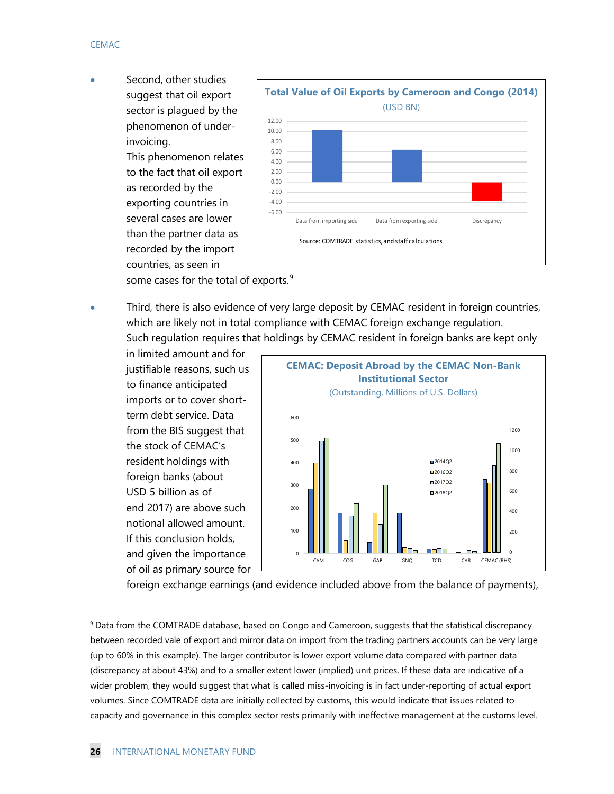Second, other studies suggest that oil export sector is plagued by the phenomenon of underinvoicing.

> This phenomenon relates to the fact that oil export as recorded by the exporting countries in several cases are lower than the partner data as recorded by the import countries, as seen in

![](_page_26_Figure_3.jpeg)

some cases for the total of exports.<sup>[9](#page-26-0)</sup>

• Third, there is also evidence of very large deposit by CEMAC resident in foreign countries, which are likely not in total compliance with CEMAC foreign exchange regulation. Such regulation requires that holdings by CEMAC resident in foreign banks are kept only

in limited amount and for justifiable reasons, such us to finance anticipated imports or to cover shortterm debt service. Data from the BIS suggest that the stock of CEMAC's resident holdings with foreign banks (about USD 5 billion as of end 2017) are above such notional allowed amount. If this conclusion holds, and given the importance of oil as primary source for

![](_page_26_Figure_7.jpeg)

foreign exchange earnings (and evidence included above from the balance of payments),

 $\ddot{ }$ 

<span id="page-26-0"></span><sup>&</sup>lt;sup>9</sup> Data from the COMTRADE database, based on Congo and Cameroon, suggests that the statistical discrepancy between recorded vale of export and mirror data on import from the trading partners accounts can be very large (up to 60% in this example). The larger contributor is lower export volume data compared with partner data (discrepancy at about 43%) and to a smaller extent lower (implied) unit prices. If these data are indicative of a wider problem, they would suggest that what is called miss-invoicing is in fact under-reporting of actual export volumes. Since COMTRADE data are initially collected by customs, this would indicate that issues related to capacity and governance in this complex sector rests primarily with ineffective management at the customs level.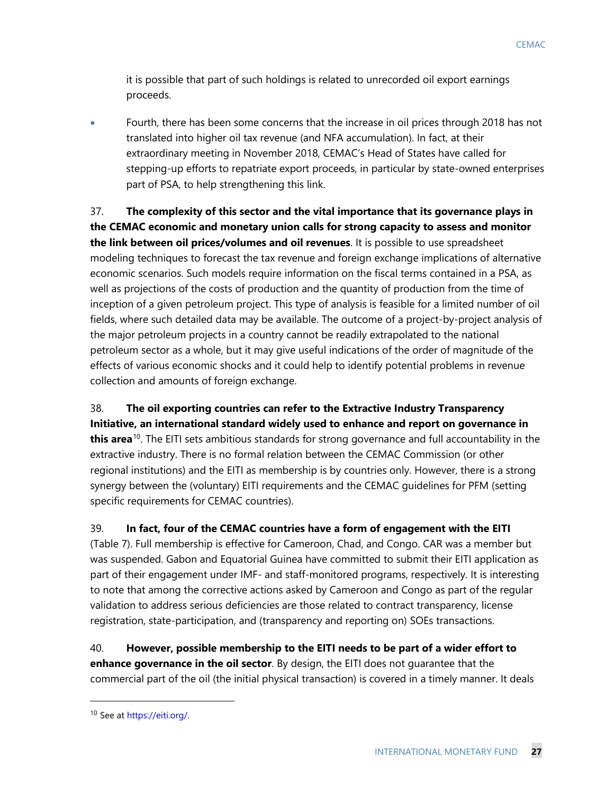it is possible that part of such holdings is related to unrecorded oil export earnings proceeds.

• Fourth, there has been some concerns that the increase in oil prices through 2018 has not translated into higher oil tax revenue (and NFA accumulation). In fact, at their extraordinary meeting in November 2018, CEMAC's Head of States have called for stepping-up efforts to repatriate export proceeds, in particular by state-owned enterprises part of PSA, to help strengthening this link.

37. **The complexity of this sector and the vital importance that its governance plays in the CEMAC economic and monetary union calls for strong capacity to assess and monitor the link between oil prices/volumes and oil revenues**. It is possible to use spreadsheet modeling techniques to forecast the tax revenue and foreign exchange implications of alternative economic scenarios. Such models require information on the fiscal terms contained in a PSA, as well as projections of the costs of production and the quantity of production from the time of inception of a given petroleum project. This type of analysis is feasible for a limited number of oil fields, where such detailed data may be available. The outcome of a project-by-project analysis of the major petroleum projects in a country cannot be readily extrapolated to the national petroleum sector as a whole, but it may give useful indications of the order of magnitude of the effects of various economic shocks and it could help to identify potential problems in revenue collection and amounts of foreign exchange.

38. **The oil exporting countries can refer to the Extractive Industry Transparency Initiative, an international standard widely used to enhance and report on governance in this area**[10](#page-27-0). The EITI sets ambitious standards for strong governance and full accountability in the extractive industry. There is no formal relation between the CEMAC Commission (or other regional institutions) and the EITI as membership is by countries only. However, there is a strong synergy between the (voluntary) EITI requirements and the CEMAC guidelines for PFM (setting specific requirements for CEMAC countries).

39. **In fact, four of the CEMAC countries have a form of engagement with the EITI** (Table 7). Full membership is effective for Cameroon, Chad, and Congo. CAR was a member but was suspended. Gabon and Equatorial Guinea have committed to submit their EITI application as part of their engagement under IMF- and staff-monitored programs, respectively. It is interesting to note that among the corrective actions asked by Cameroon and Congo as part of the regular validation to address serious deficiencies are those related to contract transparency, license registration, state-participation, and (transparency and reporting on) SOEs transactions.

40. **However, possible membership to the EITI needs to be part of a wider effort to enhance governance in the oil sector**. By design, the EITI does not guarantee that the commercial part of the oil (the initial physical transaction) is covered in a timely manner. It deals

 $\ddot{ }$ 

<span id="page-27-0"></span><sup>10</sup> See a[t https://eiti.org/.](https://eiti.org/)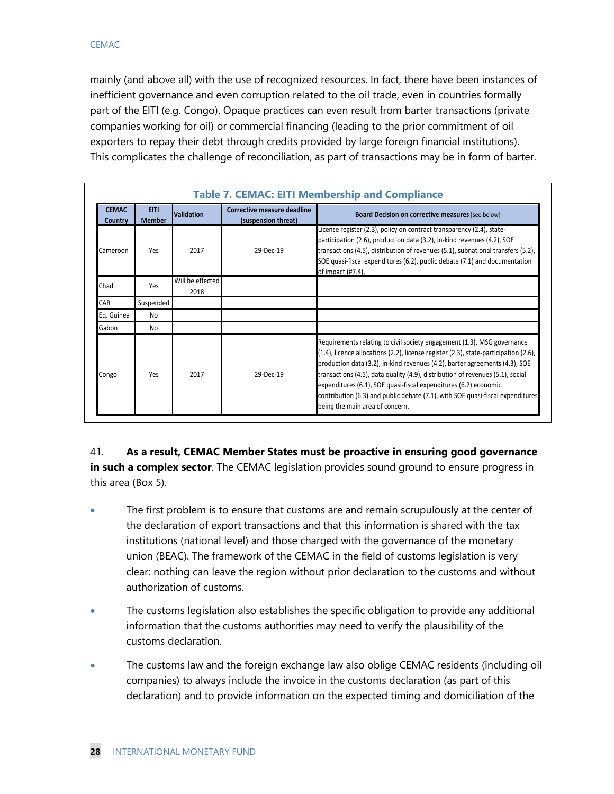mainly (and above all) with the use of recognized resources. In fact, there have been instances of inefficient governance and even corruption related to the oil trade, even in countries formally part of the EITI (e.g. Congo). Opaque practices can even result from barter transactions (private companies working for oil) or commercial financing (leading to the prior commitment of oil exporters to repay their debt through credits provided by large foreign financial institutions). This complicates the challenge of reconciliation, as part of transactions may be in form of barter.

|                         | <b>Table 7. CEMAC: EITI Membership and Compliance</b> |                          |                                                    |                                                                                                                                                                                                                                                                                                                                                                                                                                                                                                                           |  |  |  |
|-------------------------|-------------------------------------------------------|--------------------------|----------------------------------------------------|---------------------------------------------------------------------------------------------------------------------------------------------------------------------------------------------------------------------------------------------------------------------------------------------------------------------------------------------------------------------------------------------------------------------------------------------------------------------------------------------------------------------------|--|--|--|
| <b>CEMAC</b><br>Country | <b>EITI</b><br><b>Member</b>                          | <b>Validation</b>        | Corrective measure deadline<br>(suspension threat) | Board Decision on corrective measures [see below]                                                                                                                                                                                                                                                                                                                                                                                                                                                                         |  |  |  |
| Cameroon                | Yes                                                   | 2017                     | 29-Dec-19                                          | License register (2.3), policy on contract transparency (2.4), state-<br>participation (2.6), production data (3.2), in-kind revenues (4.2), SOE<br>transactions (4.5), distribution of revenues (5.1), subnational transfers (5.2),<br>SOE quasi-fiscal expenditures (6.2), public debate (7.1) and documentation<br>of impact (#7.4),                                                                                                                                                                                   |  |  |  |
| Chad                    | Yes                                                   | Will be effected<br>2018 |                                                    |                                                                                                                                                                                                                                                                                                                                                                                                                                                                                                                           |  |  |  |
| CAR                     | Suspended                                             |                          |                                                    |                                                                                                                                                                                                                                                                                                                                                                                                                                                                                                                           |  |  |  |
| Eq. Guinea              | No                                                    |                          |                                                    |                                                                                                                                                                                                                                                                                                                                                                                                                                                                                                                           |  |  |  |
| Gabon                   | No                                                    |                          |                                                    |                                                                                                                                                                                                                                                                                                                                                                                                                                                                                                                           |  |  |  |
| Congo                   | Yes                                                   | 2017                     | 29-Dec-19                                          | Requirements relating to civil society engagement (1.3), MSG governance<br>(1.4), licence allocations (2.2), license register (2.3), state-participation (2.6),<br>production data (3.2), in-kind revenues (4.2), barter agreements (4.3), SOE<br>transactions (4.5), data quality (4.9), distribution of revenues (5.1), social<br>expenditures (6.1), SOE quasi-fiscal expenditures (6.2) economic<br>contribution (6.3) and public debate (7.1), with SOE quasi-fiscal expenditures<br>being the main area of concern. |  |  |  |

41. **As a result, CEMAC Member States must be proactive in ensuring good governance in such a complex sector**. The CEMAC legislation provides sound ground to ensure progress in this area (Box 5).

- The first problem is to ensure that customs are and remain scrupulously at the center of the declaration of export transactions and that this information is shared with the tax institutions (national level) and those charged with the governance of the monetary union (BEAC). The framework of the CEMAC in the field of customs legislation is very clear: nothing can leave the region without prior declaration to the customs and without authorization of customs.
- The customs legislation also establishes the specific obligation to provide any additional information that the customs authorities may need to verify the plausibility of the customs declaration.
- The customs law and the foreign exchange law also oblige CEMAC residents (including oil companies) to always include the invoice in the customs declaration (as part of this declaration) and to provide information on the expected timing and domiciliation of the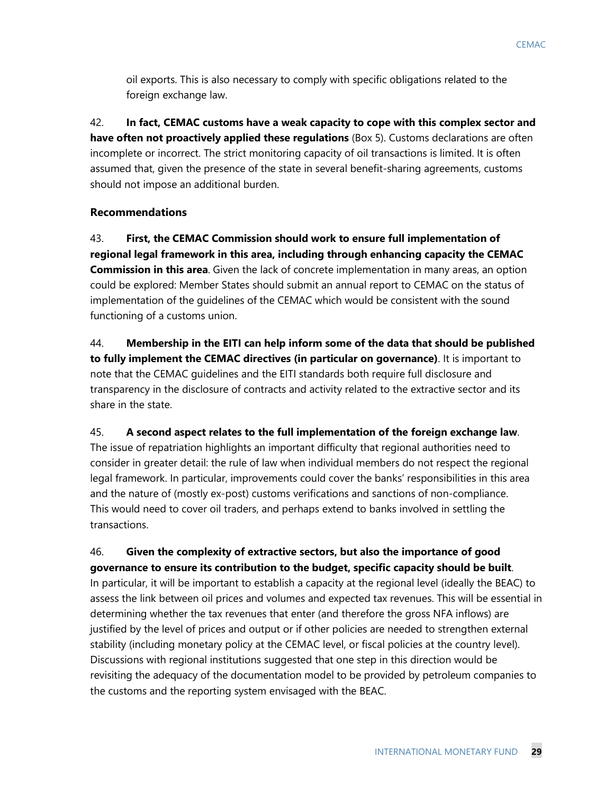oil exports. This is also necessary to comply with specific obligations related to the foreign exchange law.

42. **In fact, CEMAC customs have a weak capacity to cope with this complex sector and have often not proactively applied these regulations** (Box 5). Customs declarations are often incomplete or incorrect. The strict monitoring capacity of oil transactions is limited. It is often assumed that, given the presence of the state in several benefit-sharing agreements, customs should not impose an additional burden.

#### **Recommendations**

43. **First, the CEMAC Commission should work to ensure full implementation of regional legal framework in this area, including through enhancing capacity the CEMAC Commission in this area**. Given the lack of concrete implementation in many areas, an option could be explored: Member States should submit an annual report to CEMAC on the status of implementation of the guidelines of the CEMAC which would be consistent with the sound functioning of a customs union.

44. **Membership in the EITI can help inform some of the data that should be published to fully implement the CEMAC directives (in particular on governance)**. It is important to note that the CEMAC guidelines and the EITI standards both require full disclosure and transparency in the disclosure of contracts and activity related to the extractive sector and its share in the state.

#### 45. **A second aspect relates to the full implementation of the foreign exchange law**.

The issue of repatriation highlights an important difficulty that regional authorities need to consider in greater detail: the rule of law when individual members do not respect the regional legal framework. In particular, improvements could cover the banks' responsibilities in this area and the nature of (mostly ex-post) customs verifications and sanctions of non-compliance. This would need to cover oil traders, and perhaps extend to banks involved in settling the transactions.

## 46. **Given the complexity of extractive sectors, but also the importance of good governance to ensure its contribution to the budget, specific capacity should be built**.

In particular, it will be important to establish a capacity at the regional level (ideally the BEAC) to assess the link between oil prices and volumes and expected tax revenues. This will be essential in determining whether the tax revenues that enter (and therefore the gross NFA inflows) are justified by the level of prices and output or if other policies are needed to strengthen external stability (including monetary policy at the CEMAC level, or fiscal policies at the country level). Discussions with regional institutions suggested that one step in this direction would be revisiting the adequacy of the documentation model to be provided by petroleum companies to the customs and the reporting system envisaged with the BEAC.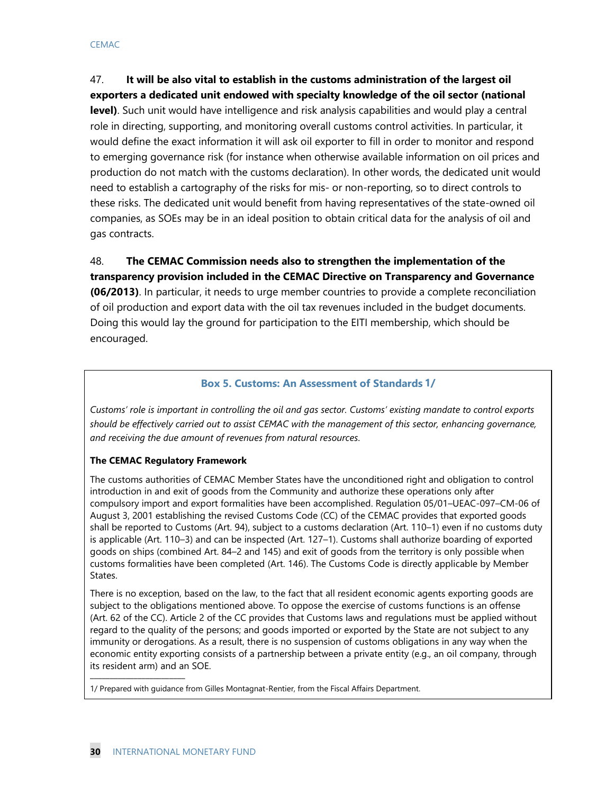47. **It will be also vital to establish in the customs administration of the largest oil exporters a dedicated unit endowed with specialty knowledge of the oil sector (national level)**. Such unit would have intelligence and risk analysis capabilities and would play a central role in directing, supporting, and monitoring overall customs control activities. In particular, it would define the exact information it will ask oil exporter to fill in order to monitor and respond to emerging governance risk (for instance when otherwise available information on oil prices and production do not match with the customs declaration). In other words, the dedicated unit would need to establish a cartography of the risks for mis- or non-reporting, so to direct controls to these risks. The dedicated unit would benefit from having representatives of the state-owned oil companies, as SOEs may be in an ideal position to obtain critical data for the analysis of oil and gas contracts.

48. **The CEMAC Commission needs also to strengthen the implementation of the transparency provision included in the CEMAC Directive on Transparency and Governance (06/2013)**. In particular, it needs to urge member countries to provide a complete reconciliation of oil production and export data with the oil tax revenues included in the budget documents. Doing this would lay the ground for participation to the EITI membership, which should be encouraged.

#### **Box 5. Customs: An Assessment of Standards 1/**

*Customs' role is important in controlling the oil and gas sector. Customs' existing mandate to control exports should be effectively carried out to assist CEMAC with the management of this sector, enhancing governance, and receiving the due amount of revenues from natural resources*.

#### **The CEMAC Regulatory Framework**

The customs authorities of CEMAC Member States have the unconditioned right and obligation to control introduction in and exit of goods from the Community and authorize these operations only after compulsory import and export formalities have been accomplished. Regulation 05/01–UEAC-097–CM-06 of August 3, 2001 establishing the revised Customs Code (CC) of the CEMAC provides that exported goods shall be reported to Customs (Art. 94), subject to a customs declaration (Art. 110–1) even if no customs duty is applicable (Art. 110–3) and can be inspected (Art. 127–1). Customs shall authorize boarding of exported goods on ships (combined Art. 84–2 and 145) and exit of goods from the territory is only possible when customs formalities have been completed (Art. 146). The Customs Code is directly applicable by Member States.

There is no exception, based on the law, to the fact that all resident economic agents exporting goods are subject to the obligations mentioned above. To oppose the exercise of customs functions is an offense (Art. 62 of the CC). Article 2 of the CC provides that Customs laws and regulations must be applied without regard to the quality of the persons; and goods imported or exported by the State are not subject to any immunity or derogations. As a result, there is no suspension of customs obligations in any way when the economic entity exporting consists of a partnership between a private entity (e.g., an oil company, through its resident arm) and an SOE.

1/ Prepared with guidance from Gilles Montagnat-Rentier, from the Fiscal Affairs Department.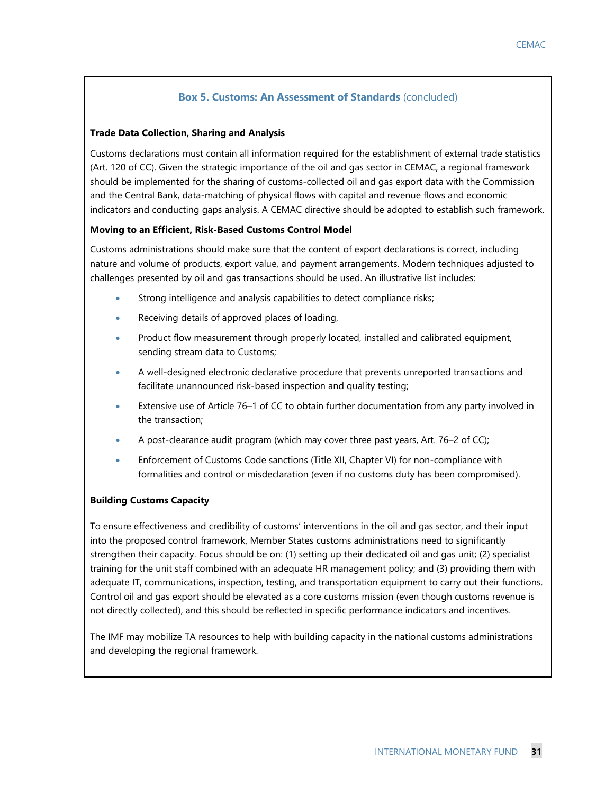#### **Box 5. Customs: An Assessment of Standards** (concluded)

#### **Trade Data Collection, Sharing and Analysis**

Customs declarations must contain all information required for the establishment of external trade statistics (Art. 120 of CC). Given the strategic importance of the oil and gas sector in CEMAC, a regional framework should be implemented for the sharing of customs-collected oil and gas export data with the Commission and the Central Bank, data-matching of physical flows with capital and revenue flows and economic indicators and conducting gaps analysis. A CEMAC directive should be adopted to establish such framework.

#### **Moving to an Efficient, Risk-Based Customs Control Model**

Customs administrations should make sure that the content of export declarations is correct, including nature and volume of products, export value, and payment arrangements. Modern techniques adjusted to challenges presented by oil and gas transactions should be used. An illustrative list includes:

- Strong intelligence and analysis capabilities to detect compliance risks;
- Receiving details of approved places of loading,
- Product flow measurement through properly located, installed and calibrated equipment, sending stream data to Customs;
- A well-designed electronic declarative procedure that prevents unreported transactions and facilitate unannounced risk-based inspection and quality testing;
- Extensive use of Article 76–1 of CC to obtain further documentation from any party involved in the transaction;
- A post-clearance audit program (which may cover three past years, Art. 76–2 of CC);
- Enforcement of Customs Code sanctions (Title XII, Chapter VI) for non-compliance with formalities and control or misdeclaration (even if no customs duty has been compromised).

#### **Building Customs Capacity**

To ensure effectiveness and credibility of customs' interventions in the oil and gas sector, and their input into the proposed control framework, Member States customs administrations need to significantly strengthen their capacity. Focus should be on: (1) setting up their dedicated oil and gas unit; (2) specialist training for the unit staff combined with an adequate HR management policy; and (3) providing them with adequate IT, communications, inspection, testing, and transportation equipment to carry out their functions. Control oil and gas export should be elevated as a core customs mission (even though customs revenue is not directly collected), and this should be reflected in specific performance indicators and incentives.

The IMF may mobilize TA resources to help with building capacity in the national customs administrations and developing the regional framework.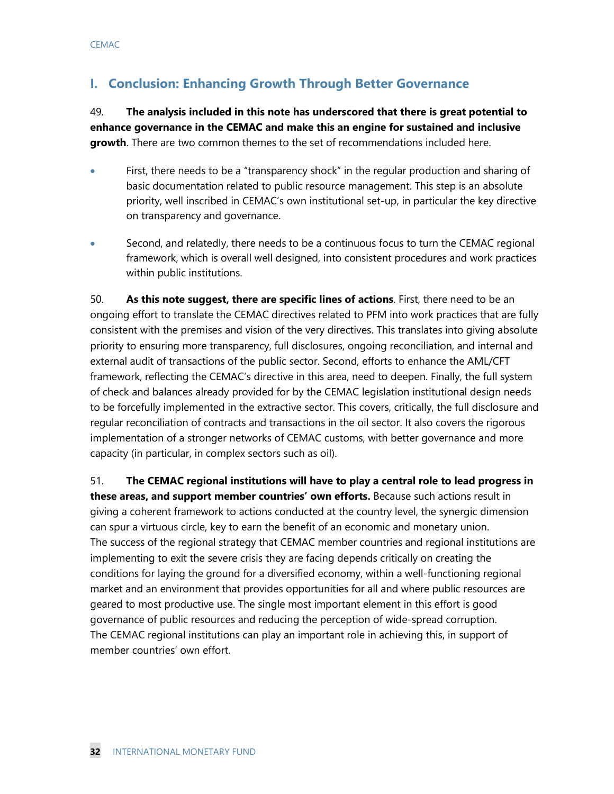# **I. Conclusion: Enhancing Growth Through Better Governance**

49. **The analysis included in this note has underscored that there is great potential to enhance governance in the CEMAC and make this an engine for sustained and inclusive growth**. There are two common themes to the set of recommendations included here.

- First, there needs to be a "transparency shock" in the regular production and sharing of basic documentation related to public resource management. This step is an absolute priority, well inscribed in CEMAC's own institutional set-up, in particular the key directive on transparency and governance.
- Second, and relatedly, there needs to be a continuous focus to turn the CEMAC regional framework, which is overall well designed, into consistent procedures and work practices within public institutions.

50. **As this note suggest, there are specific lines of actions**. First, there need to be an ongoing effort to translate the CEMAC directives related to PFM into work practices that are fully consistent with the premises and vision of the very directives. This translates into giving absolute priority to ensuring more transparency, full disclosures, ongoing reconciliation, and internal and external audit of transactions of the public sector. Second, efforts to enhance the AML/CFT framework, reflecting the CEMAC's directive in this area, need to deepen. Finally, the full system of check and balances already provided for by the CEMAC legislation institutional design needs to be forcefully implemented in the extractive sector. This covers, critically, the full disclosure and regular reconciliation of contracts and transactions in the oil sector. It also covers the rigorous implementation of a stronger networks of CEMAC customs, with better governance and more capacity (in particular, in complex sectors such as oil).

51. **The CEMAC regional institutions will have to play a central role to lead progress in these areas, and support member countries' own efforts.** Because such actions result in giving a coherent framework to actions conducted at the country level, the synergic dimension can spur a virtuous circle, key to earn the benefit of an economic and monetary union. The success of the regional strategy that CEMAC member countries and regional institutions are implementing to exit the severe crisis they are facing depends critically on creating the conditions for laying the ground for a diversified economy, within a well-functioning regional market and an environment that provides opportunities for all and where public resources are geared to most productive use. The single most important element in this effort is good governance of public resources and reducing the perception of wide-spread corruption. The CEMAC regional institutions can play an important role in achieving this, in support of member countries' own effort.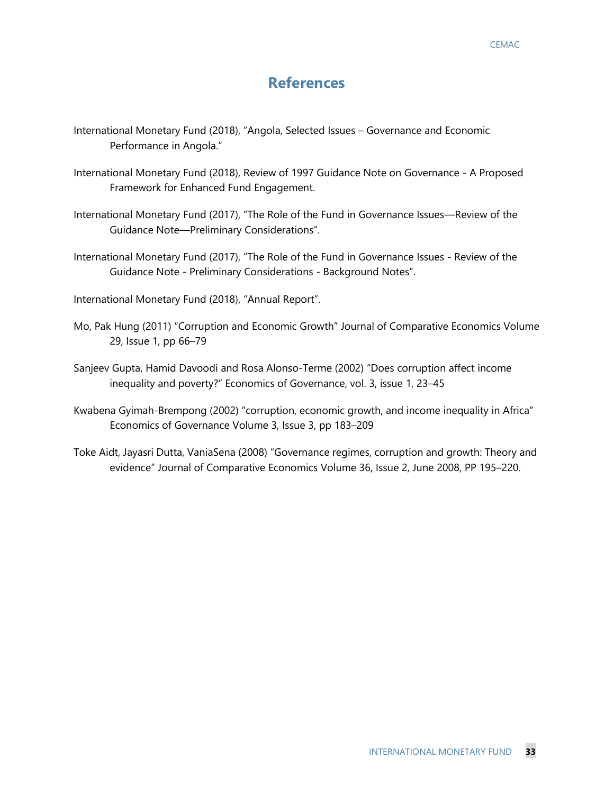# **References**

- International Monetary Fund (2018), "Angola, Selected Issues Governance and Economic Performance in Angola."
- International Monetary Fund (2018), Review of 1997 Guidance Note on Governance A Proposed Framework for Enhanced Fund Engagement.
- International Monetary Fund (2017), "The Role of the Fund in Governance Issues—Review of the Guidance Note—Preliminary Considerations".
- International Monetary Fund (2017), "The Role of the Fund in Governance Issues Review of the Guidance Note - Preliminary Considerations - Background Notes".

International Monetary Fund (2018), "Annual Report".

- Mo, Pak Hung (2011) "Corruption and Economic Growth" Journal of Comparative Economics Volume 29, Issue 1, pp 66–79
- Sanjeev Gupta, Hamid Davoodi and Rosa Alonso-Terme (2002) "Does corruption affect income inequality and poverty?" Economics of Governance, vol. 3, issue 1, 23–45
- Kwabena Gyimah-Brempong (2002) "corruption, economic growth, and income inequality in Africa" Economics of Governance Volume 3, Issue 3, pp 183–209
- Toke Aidt, Jayasri Dutta, VaniaSena (2008) "Governance regimes, corruption and growth: Theory and evidence" Journal of Comparative Economics Volume 36, Issue 2, June 2008, PP 195–220.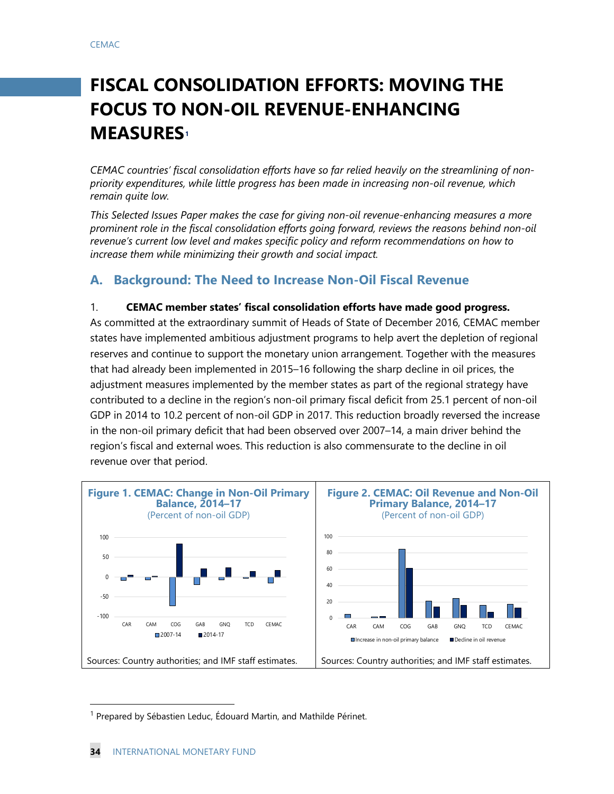# **FISCAL CONSOLIDATION EFFORTS: MOVING THE FOCUS TO NON-OIL REVENUE-ENHANCING MEASURES[1](#page-34-0)**

*CEMAC countries' fiscal consolidation efforts have so far relied heavily on the streamlining of nonpriority expenditures, while little progress has been made in increasing non-oil revenue, which remain quite low.* 

*This Selected Issues Paper makes the case for giving non-oil revenue-enhancing measures a more prominent role in the fiscal consolidation efforts going forward, reviews the reasons behind non-oil revenue's current low level and makes specific policy and reform recommendations on how to increase them while minimizing their growth and social impact.* 

## **A. Background: The Need to Increase Non-Oil Fiscal Revenue**

#### 1. **CEMAC member states' fiscal consolidation efforts have made good progress.**

As committed at the extraordinary summit of Heads of State of December 2016, CEMAC member states have implemented ambitious adjustment programs to help avert the depletion of regional reserves and continue to support the monetary union arrangement. Together with the measures that had already been implemented in 2015–16 following the sharp decline in oil prices, the adjustment measures implemented by the member states as part of the regional strategy have contributed to a decline in the region's non-oil primary fiscal deficit from 25.1 percent of non-oil GDP in 2014 to 10.2 percent of non-oil GDP in 2017. This reduction broadly reversed the increase in the non-oil primary deficit that had been observed over 2007–14, a main driver behind the region's fiscal and external woes. This reduction is also commensurate to the decline in oil revenue over that period.

![](_page_34_Figure_7.jpeg)

<span id="page-34-0"></span><sup>&</sup>lt;sup>1</sup> Prepared by Sébastien Leduc, Édouard Martin, and Mathilde Périnet.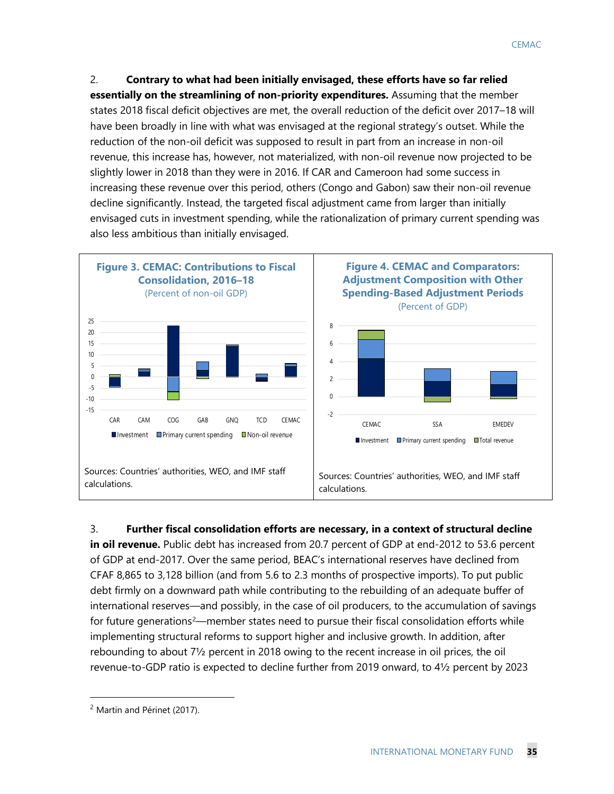2. **Contrary to what had been initially envisaged, these efforts have so far relied essentially on the streamlining of non-priority expenditures.** Assuming that the member states 2018 fiscal deficit objectives are met, the overall reduction of the deficit over 2017–18 will have been broadly in line with what was envisaged at the regional strategy's outset. While the reduction of the non-oil deficit was supposed to result in part from an increase in non-oil revenue, this increase has, however, not materialized, with non-oil revenue now projected to be slightly lower in 2018 than they were in 2016. If CAR and Cameroon had some success in increasing these revenue over this period, others (Congo and Gabon) saw their non-oil revenue decline significantly. Instead, the targeted fiscal adjustment came from larger than initially envisaged cuts in investment spending, while the rationalization of primary current spending was also less ambitious than initially envisaged.

![](_page_35_Figure_2.jpeg)

#### 3. **Further fiscal consolidation efforts are necessary, in a context of structural decline**

**in oil revenue.** Public debt has increased from 20.7 percent of GDP at end-2012 to 53.6 percent of GDP at end-2017. Over the same period, BEAC's international reserves have declined from CFAF 8,865 to 3,128 billion (and from 5.6 to 2.3 months of prospective imports). To put public debt firmly on a downward path while contributing to the rebuilding of an adequate buffer of international reserves—and possibly, in the case of oil producers, to the accumulation of savings for future generations<sup>[2](#page-35-0)</sup>—member states need to pursue their fiscal consolidation efforts while implementing structural reforms to support higher and inclusive growth. In addition, after rebounding to about 7½ percent in 2018 owing to the recent increase in oil prices, the oil revenue-to-GDP ratio is expected to decline further from 2019 onward, to 4½ percent by 2023

<span id="page-35-0"></span> <sup>2</sup> Martin and Périnet (2017).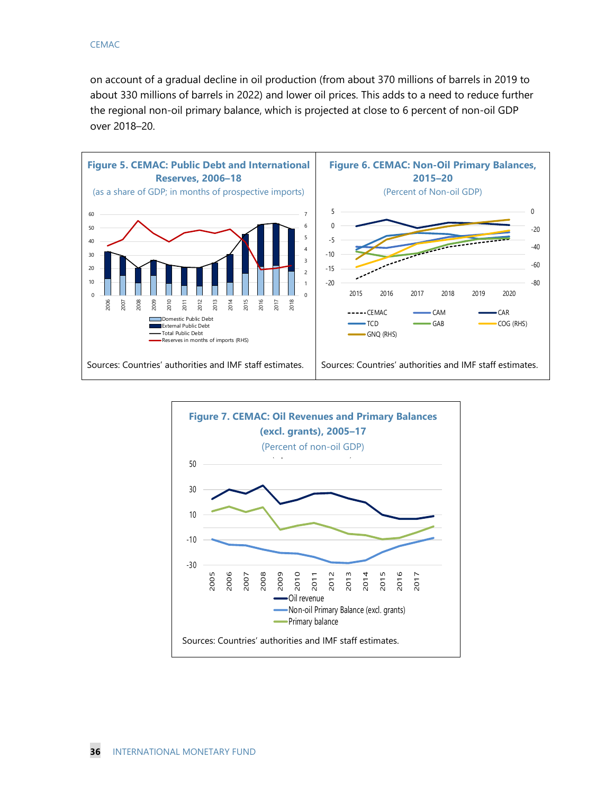on account of a gradual decline in oil production (from about 370 millions of barrels in 2019 to about 330 millions of barrels in 2022) and lower oil prices. This adds to a need to reduce further the regional non-oil primary balance, which is projected at close to 6 percent of non-oil GDP over 2018–20.

![](_page_36_Figure_2.jpeg)

![](_page_36_Figure_3.jpeg)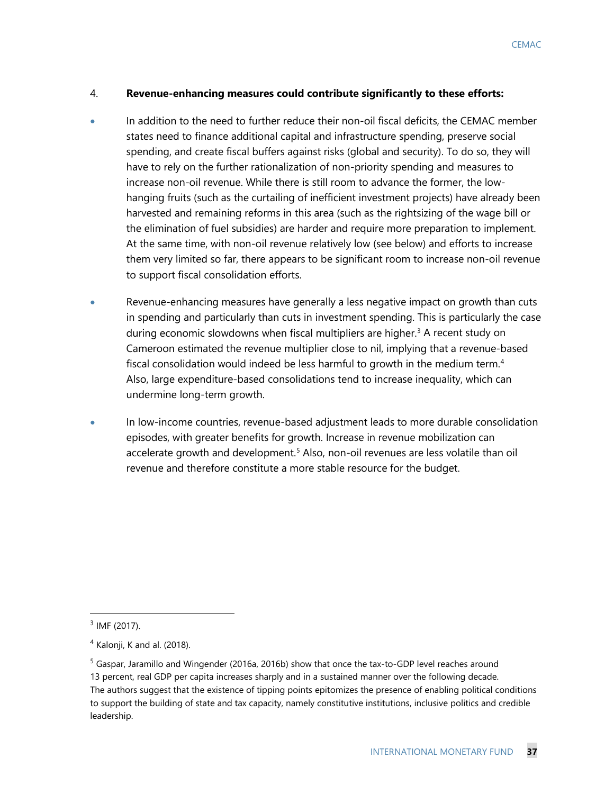#### 4. **Revenue-enhancing measures could contribute significantly to these efforts:**

- In addition to the need to further reduce their non-oil fiscal deficits, the CEMAC member states need to finance additional capital and infrastructure spending, preserve social spending, and create fiscal buffers against risks (global and security). To do so, they will have to rely on the further rationalization of non-priority spending and measures to increase non-oil revenue. While there is still room to advance the former, the lowhanging fruits (such as the curtailing of inefficient investment projects) have already been harvested and remaining reforms in this area (such as the rightsizing of the wage bill or the elimination of fuel subsidies) are harder and require more preparation to implement. At the same time, with non-oil revenue relatively low (see below) and efforts to increase them very limited so far, there appears to be significant room to increase non-oil revenue to support fiscal consolidation efforts.
- Revenue-enhancing measures have generally a less negative impact on growth than cuts in spending and particularly than cuts in investment spending. This is particularly the case during economic slowdowns when fiscal multipliers are higher.<sup>[3](#page-37-0)</sup> A recent study on Cameroon estimated the revenue multiplier close to nil, implying that a revenue-based fiscal consolidation would indeed be less harmful to growth in the medium term.<sup>4</sup> Also, large expenditure-based consolidations tend to increase inequality, which can undermine long-term growth.
- In low-income countries, revenue-based adjustment leads to more durable consolidation episodes, with greater benefits for growth. Increase in revenue mobilization can accelerate growth and development.<sup>[5](#page-37-2)</sup> Also, non-oil revenues are less volatile than oil revenue and therefore constitute a more stable resource for the budget.

<span id="page-37-0"></span> $3$  IMF (2017).

<span id="page-37-1"></span> $4$  Kalonji, K and al. (2018).

<span id="page-37-2"></span><sup>&</sup>lt;sup>5</sup> Gaspar, Jaramillo and Wingender (2016a, 2016b) show that once the tax-to-GDP level reaches around 13 percent, real GDP per capita increases sharply and in a sustained manner over the following decade. The authors suggest that the existence of tipping points epitomizes the presence of enabling political conditions to support the building of state and tax capacity, namely constitutive institutions, inclusive politics and credible leadership.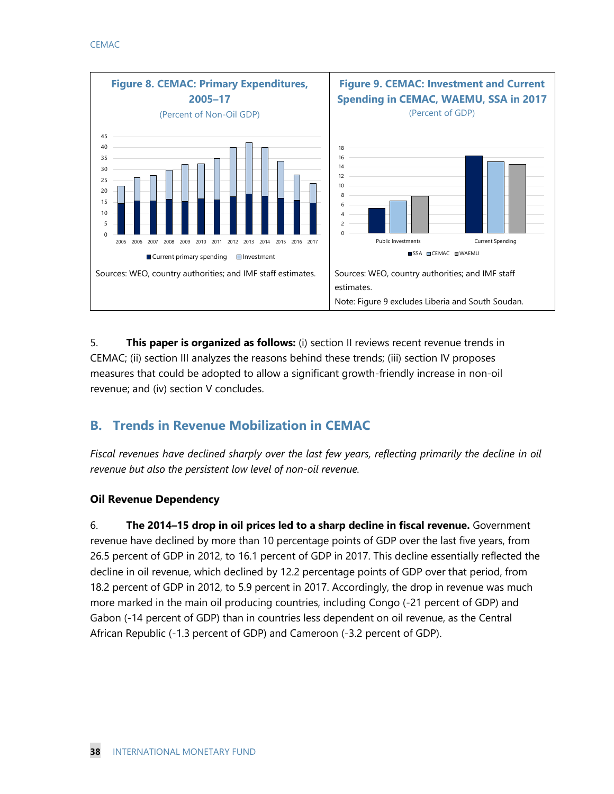![](_page_38_Figure_1.jpeg)

5. **This paper is organized as follows:** (i) section II reviews recent revenue trends in CEMAC; (ii) section III analyzes the reasons behind these trends; (iii) section IV proposes measures that could be adopted to allow a significant growth-friendly increase in non-oil revenue; and (iv) section V concludes.

# **B. Trends in Revenue Mobilization in CEMAC**

*Fiscal revenues have declined sharply over the last few years, reflecting primarily the decline in oil revenue but also the persistent low level of non-oil revenue.* 

## **Oil Revenue Dependency**

6. **The 2014–15 drop in oil prices led to a sharp decline in fiscal revenue.** Government revenue have declined by more than 10 percentage points of GDP over the last five years, from 26.5 percent of GDP in 2012, to 16.1 percent of GDP in 2017. This decline essentially reflected the decline in oil revenue, which declined by 12.2 percentage points of GDP over that period, from 18.2 percent of GDP in 2012, to 5.9 percent in 2017. Accordingly, the drop in revenue was much more marked in the main oil producing countries, including Congo (-21 percent of GDP) and Gabon (-14 percent of GDP) than in countries less dependent on oil revenue, as the Central African Republic (-1.3 percent of GDP) and Cameroon (-3.2 percent of GDP).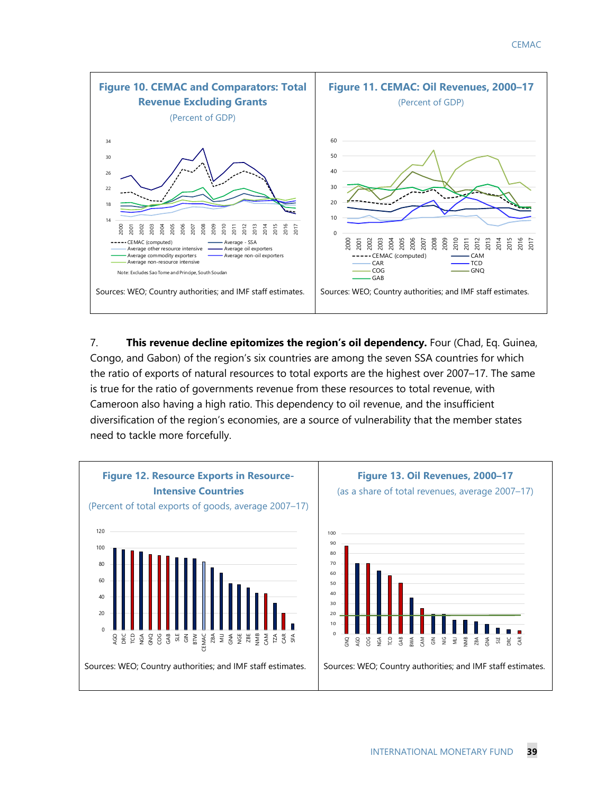![](_page_39_Figure_1.jpeg)

7. **This revenue decline epitomizes the region's oil dependency.** Four (Chad, Eq. Guinea, Congo, and Gabon) of the region's six countries are among the seven SSA countries for which the ratio of exports of natural resources to total exports are the highest over 2007–17. The same is true for the ratio of governments revenue from these resources to total revenue, with Cameroon also having a high ratio. This dependency to oil revenue, and the insufficient diversification of the region's economies, are a source of vulnerability that the member states need to tackle more forcefully.

![](_page_39_Figure_3.jpeg)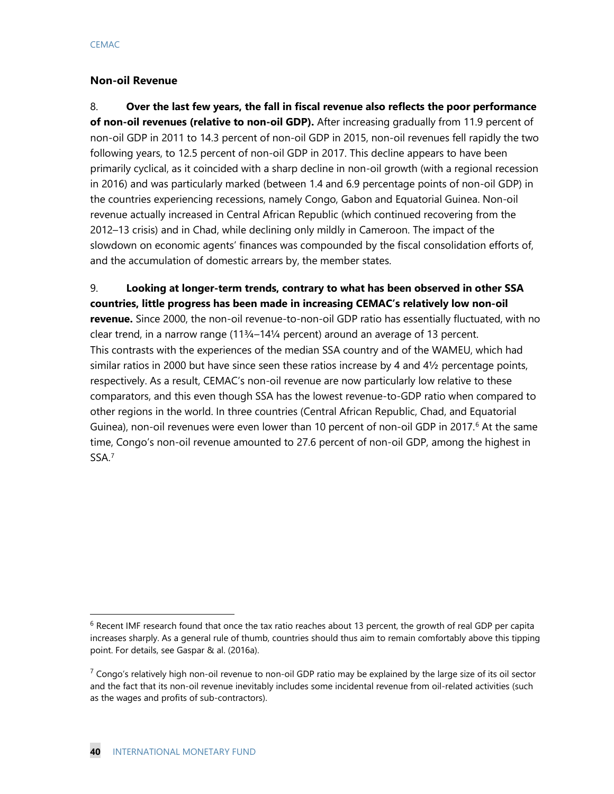#### **Non-oil Revenue**

8. **Over the last few years, the fall in fiscal revenue also reflects the poor performance of non-oil revenues (relative to non-oil GDP).** After increasing gradually from 11.9 percent of non-oil GDP in 2011 to 14.3 percent of non-oil GDP in 2015, non-oil revenues fell rapidly the two following years, to 12.5 percent of non-oil GDP in 2017. This decline appears to have been primarily cyclical, as it coincided with a sharp decline in non-oil growth (with a regional recession in 2016) and was particularly marked (between 1.4 and 6.9 percentage points of non-oil GDP) in the countries experiencing recessions, namely Congo, Gabon and Equatorial Guinea. Non-oil revenue actually increased in Central African Republic (which continued recovering from the 2012–13 crisis) and in Chad, while declining only mildly in Cameroon. The impact of the slowdown on economic agents' finances was compounded by the fiscal consolidation efforts of, and the accumulation of domestic arrears by, the member states.

9. **Looking at longer-term trends, contrary to what has been observed in other SSA countries, little progress has been made in increasing CEMAC's relatively low non-oil revenue.** Since 2000, the non-oil revenue-to-non-oil GDP ratio has essentially fluctuated, with no clear trend, in a narrow range  $(11<sup>3</sup>/<sub>4</sub>-14<sup>1</sup>/<sub>4</sub>$  percent) around an average of 13 percent. This contrasts with the experiences of the median SSA country and of the WAMEU, which had similar ratios in 2000 but have since seen these ratios increase by 4 and 4½ percentage points, respectively. As a result, CEMAC's non-oil revenue are now particularly low relative to these comparators, and this even though SSA has the lowest revenue-to-GDP ratio when compared to other regions in the world. In three countries (Central African Republic, Chad, and Equatorial Guinea), non-oil revenues were even lower than 10 percent of non-oil GDP in 2017.<sup>[6](#page-40-0)</sup> At the same time, Congo's non-oil revenue amounted to 27.6 percent of non-oil GDP, among the highest in SSA.[7](#page-40-1)

<span id="page-40-0"></span> $6$  Recent IMF research found that once the tax ratio reaches about 13 percent, the growth of real GDP per capita increases sharply. As a general rule of thumb, countries should thus aim to remain comfortably above this tipping point. For details, see Gaspar & al. (2016a).

<span id="page-40-1"></span> $^7$  Congo's relatively high non-oil revenue to non-oil GDP ratio may be explained by the large size of its oil sector and the fact that its non-oil revenue inevitably includes some incidental revenue from oil-related activities (such as the wages and profits of sub-contractors).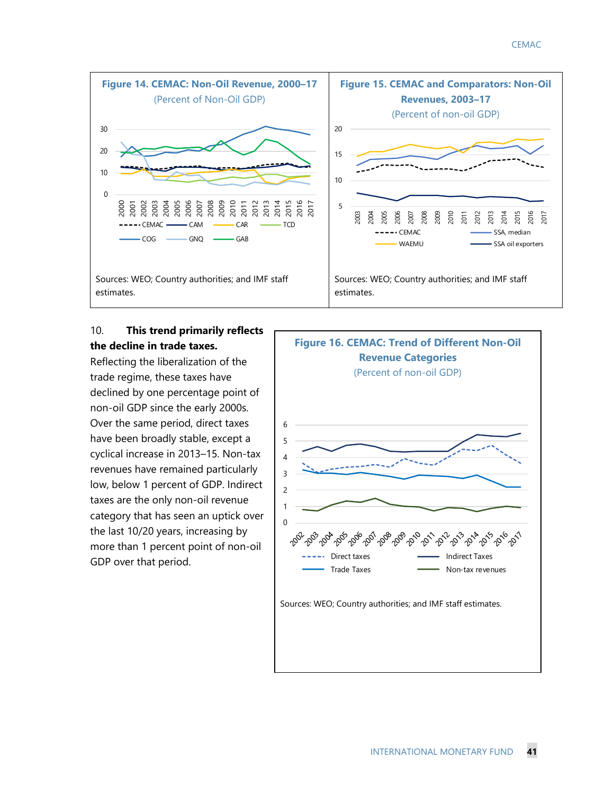![](_page_41_Figure_1.jpeg)

## 10. **This trend primarily reflects the decline in trade taxes.**

Reflecting the liberalization of the trade regime, these taxes have declined by one percentage point of non-oil GDP since the early 2000s. Over the same period, direct taxes have been broadly stable, except a cyclical increase in 2013–15. Non-tax revenues have remained particularly low, below 1 percent of GDP. Indirect taxes are the only non-oil revenue category that has seen an uptick over the last 10/20 years, increasing by more than 1 percent point of non-oil GDP over that period.

![](_page_41_Figure_4.jpeg)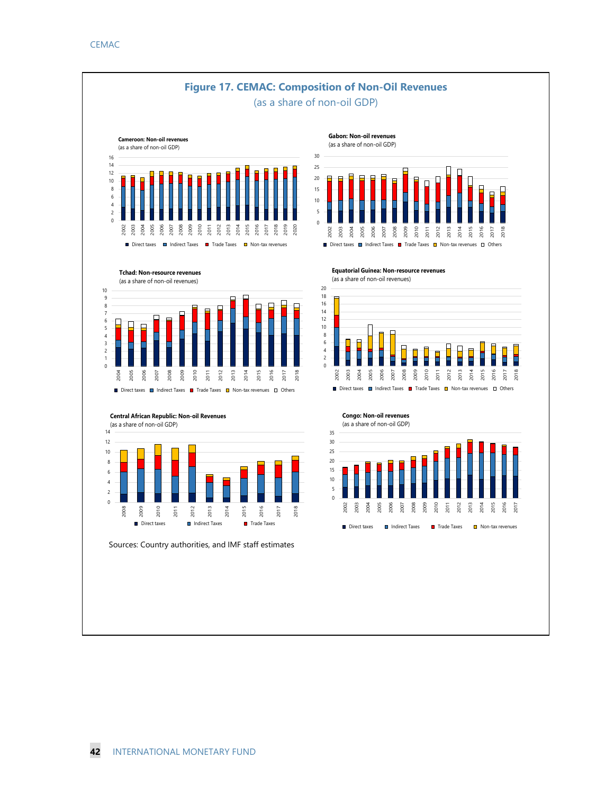![](_page_42_Figure_1.jpeg)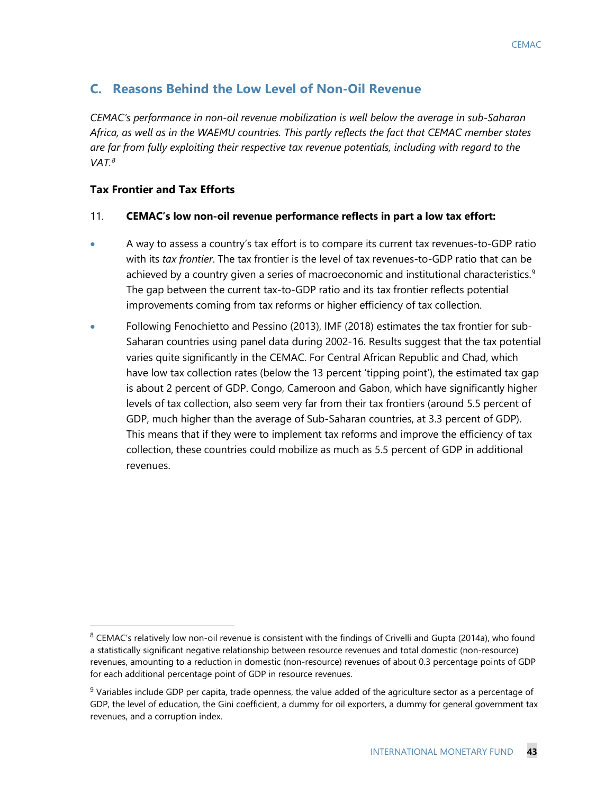## **C. Reasons Behind the Low Level of Non-Oil Revenue**

*CEMAC's performance in non-oil revenue mobilization is well below the average in sub-Saharan Africa, as well as in the WAEMU countries. This partly reflects the fact that CEMAC member states are far from fully exploiting their respective tax revenue potentials, including with regard to the VAT[.8](#page-43-0)*

## **Tax Frontier and Tax Efforts**

#### 11. **CEMAC's low non-oil revenue performance reflects in part a low tax effort:**

- A way to assess a country's tax effort is to compare its current tax revenues-to-GDP ratio with its *tax frontier*. The tax frontier is the level of tax revenues-to-GDP ratio that can be achieved by a country given a series of macroeconomic and institutional characteristics. [9](#page-43-1) The gap between the current tax-to-GDP ratio and its tax frontier reflects potential improvements coming from tax reforms or higher efficiency of tax collection.
- Following Fenochietto and Pessino (2013), IMF (2018) estimates the tax frontier for sub-Saharan countries using panel data during 2002-16. Results suggest that the tax potential varies quite significantly in the CEMAC. For Central African Republic and Chad, which have low tax collection rates (below the 13 percent 'tipping point'), the estimated tax gap is about 2 percent of GDP. Congo, Cameroon and Gabon, which have significantly higher levels of tax collection, also seem very far from their tax frontiers (around 5.5 percent of GDP, much higher than the average of Sub-Saharan countries, at 3.3 percent of GDP). This means that if they were to implement tax reforms and improve the efficiency of tax collection, these countries could mobilize as much as 5.5 percent of GDP in additional revenues.

<span id="page-43-0"></span> $8$  CEMAC's relatively low non-oil revenue is consistent with the findings of Crivelli and Gupta (2014a), who found a statistically significant negative relationship between resource revenues and total domestic (non-resource) revenues, amounting to a reduction in domestic (non-resource) revenues of about 0.3 percentage points of GDP for each additional percentage point of GDP in resource revenues.

<span id="page-43-1"></span> $9$  Variables include GDP per capita, trade openness, the value added of the agriculture sector as a percentage of GDP, the level of education, the Gini coefficient, a dummy for oil exporters, a dummy for general government tax revenues, and a corruption index.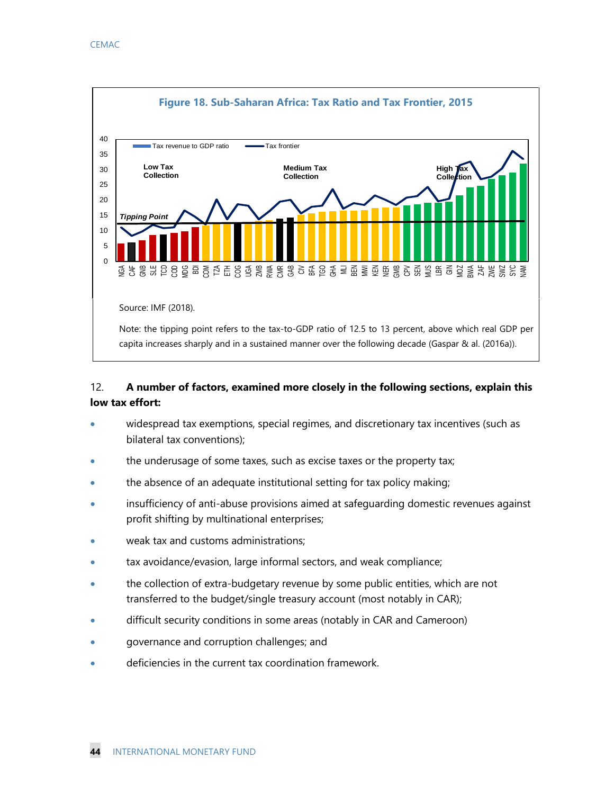![](_page_44_Figure_1.jpeg)

## 12. **A number of factors, examined more closely in the following sections, explain this low tax effort:**

- widespread tax exemptions, special regimes, and discretionary tax incentives (such as bilateral tax conventions);
- the underusage of some taxes, such as excise taxes or the property tax;
- the absence of an adequate institutional setting for tax policy making;
- insufficiency of anti-abuse provisions aimed at safeguarding domestic revenues against profit shifting by multinational enterprises;
- weak tax and customs administrations;
- tax avoidance/evasion, large informal sectors, and weak compliance;
- the collection of extra-budgetary revenue by some public entities, which are not transferred to the budget/single treasury account (most notably in CAR);
- difficult security conditions in some areas (notably in CAR and Cameroon)
- governance and corruption challenges; and
- deficiencies in the current tax coordination framework.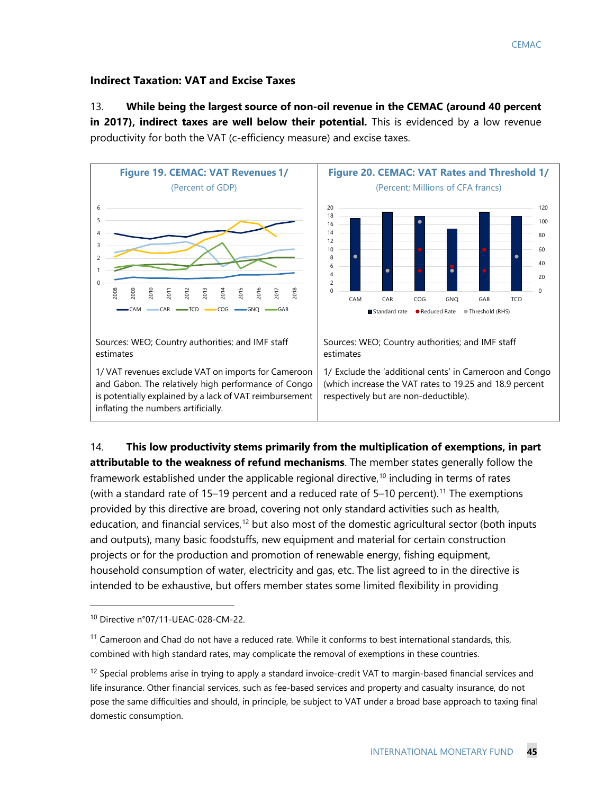#### **Indirect Taxation: VAT and Excise Taxes**

13. **While being the largest source of non-oil revenue in the CEMAC (around 40 percent in 2017), indirect taxes are well below their potential.** This is evidenced by a low revenue productivity for both the VAT (c-efficiency measure) and excise taxes.

![](_page_45_Figure_3.jpeg)

14. **This low productivity stems primarily from the multiplication of exemptions, in part attributable to the weakness of refund mechanisms**. The member states generally follow the framework established under the applicable regional directive,<sup>[10](#page-45-0)</sup> including in terms of rates (with a standard rate of 15–19 percent and a reduced rate of  $5-10$  percent).<sup>[11](#page-45-1)</sup> The exemptions provided by this directive are broad, covering not only standard activities such as health, education, and financial services,<sup>12</sup> but also most of the domestic agricultural sector (both inputs and outputs), many basic foodstuffs, new equipment and material for certain construction projects or for the production and promotion of renewable energy, fishing equipment, household consumption of water, electricity and gas, etc. The list agreed to in the directive is intended to be exhaustive, but offers member states some limited flexibility in providing

 $\ddot{ }$ 

<span id="page-45-0"></span><sup>10</sup> Directive n°07/11-UEAC-028-CM-22.

<span id="page-45-1"></span> $11$  Cameroon and Chad do not have a reduced rate. While it conforms to best international standards, this, combined with high standard rates, may complicate the removal of exemptions in these countries.

<span id="page-45-2"></span> $12$  Special problems arise in trying to apply a standard invoice-credit VAT to margin-based financial services and life insurance. Other financial services, such as fee-based services and property and casualty insurance, do not pose the same difficulties and should, in principle, be subject to VAT under a broad base approach to taxing final domestic consumption.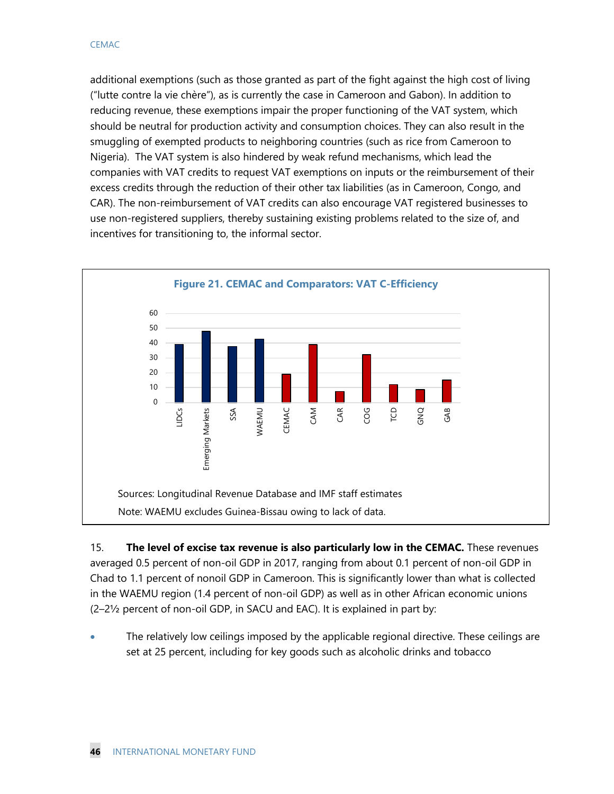additional exemptions (such as those granted as part of the fight against the high cost of living ("lutte contre la vie chère"), as is currently the case in Cameroon and Gabon). In addition to reducing revenue, these exemptions impair the proper functioning of the VAT system, which should be neutral for production activity and consumption choices. They can also result in the smuggling of exempted products to neighboring countries (such as rice from Cameroon to Nigeria). The VAT system is also hindered by weak refund mechanisms, which lead the companies with VAT credits to request VAT exemptions on inputs or the reimbursement of their excess credits through the reduction of their other tax liabilities (as in Cameroon, Congo, and CAR). The non-reimbursement of VAT credits can also encourage VAT registered businesses to use non-registered suppliers, thereby sustaining existing problems related to the size of, and incentives for transitioning to, the informal sector.

![](_page_46_Figure_2.jpeg)

15. **The level of excise tax revenue is also particularly low in the CEMAC.** These revenues averaged 0.5 percent of non-oil GDP in 2017, ranging from about 0.1 percent of non-oil GDP in Chad to 1.1 percent of nonoil GDP in Cameroon. This is significantly lower than what is collected in the WAEMU region (1.4 percent of non-oil GDP) as well as in other African economic unions (2–2½ percent of non-oil GDP, in SACU and EAC). It is explained in part by:

• The relatively low ceilings imposed by the applicable regional directive. These ceilings are set at 25 percent, including for key goods such as alcoholic drinks and tobacco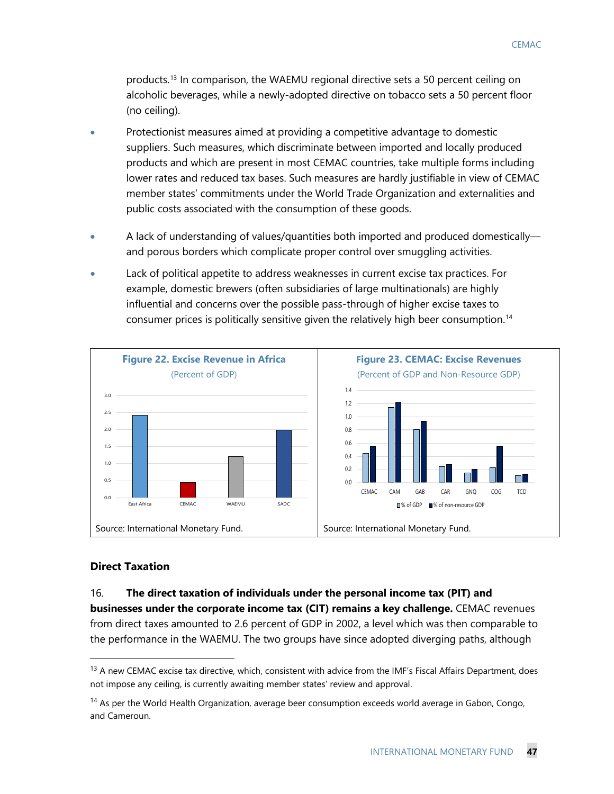products.[13](#page-47-0) In comparison, the WAEMU regional directive sets a 50 percent ceiling on alcoholic beverages, while a newly-adopted directive on tobacco sets a 50 percent floor (no ceiling).

- Protectionist measures aimed at providing a competitive advantage to domestic suppliers. Such measures, which discriminate between imported and locally produced products and which are present in most CEMAC countries, take multiple forms including lower rates and reduced tax bases. Such measures are hardly justifiable in view of CEMAC member states' commitments under the World Trade Organization and externalities and public costs associated with the consumption of these goods.
- A lack of understanding of values/quantities both imported and produced domestically and porous borders which complicate proper control over smuggling activities.
- Lack of political appetite to address weaknesses in current excise tax practices. For example, domestic brewers (often subsidiaries of large multinationals) are highly influential and concerns over the possible pass-through of higher excise taxes to consumer prices is politically sensitive given the relatively high beer consumption.<sup>[14](#page-47-1)</sup>

![](_page_47_Figure_5.jpeg)

#### **Direct Taxation**

#### 16. **The direct taxation of individuals under the personal income tax (PIT) and**

**businesses under the corporate income tax (CIT) remains a key challenge.** CEMAC revenues from direct taxes amounted to 2.6 percent of GDP in 2002, a level which was then comparable to the performance in the WAEMU. The two groups have since adopted diverging paths, although

<span id="page-47-0"></span> $13$  A new CEMAC excise tax directive, which, consistent with advice from the IMF's Fiscal Affairs Department, does not impose any ceiling, is currently awaiting member states' review and approval.

<span id="page-47-1"></span><sup>&</sup>lt;sup>14</sup> As per the World Health Organization, average beer consumption exceeds world average in Gabon, Congo, and Cameroun.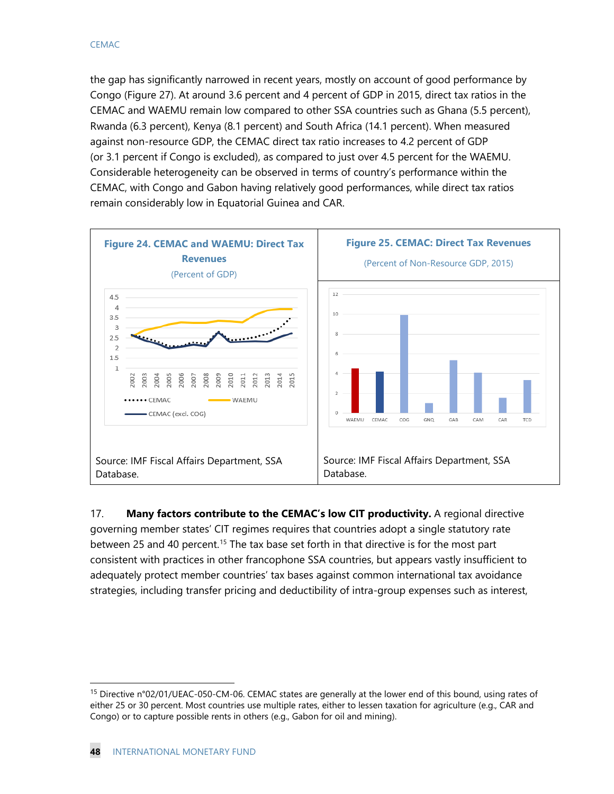the gap has significantly narrowed in recent years, mostly on account of good performance by Congo (Figure 27). At around 3.6 percent and 4 percent of GDP in 2015, direct tax ratios in the CEMAC and WAEMU remain low compared to other SSA countries such as Ghana (5.5 percent), Rwanda (6.3 percent), Kenya (8.1 percent) and South Africa (14.1 percent). When measured against non-resource GDP, the CEMAC direct tax ratio increases to 4.2 percent of GDP (or 3.1 percent if Congo is excluded), as compared to just over 4.5 percent for the WAEMU. Considerable heterogeneity can be observed in terms of country's performance within the CEMAC, with Congo and Gabon having relatively good performances, while direct tax ratios remain considerably low in Equatorial Guinea and CAR.

![](_page_48_Figure_2.jpeg)

17. **Many factors contribute to the CEMAC's low CIT productivity.** A regional directive governing member states' CIT regimes requires that countries adopt a single statutory rate between 25 and 40 percent.<sup>[15](#page-48-0)</sup> The tax base set forth in that directive is for the most part consistent with practices in other francophone SSA countries, but appears vastly insufficient to adequately protect member countries' tax bases against common international tax avoidance strategies, including transfer pricing and deductibility of intra-group expenses such as interest,

<span id="page-48-0"></span><sup>&</sup>lt;sup>15</sup> Directive n°02/01/UEAC-050-CM-06. CEMAC states are generally at the lower end of this bound, using rates of either 25 or 30 percent. Most countries use multiple rates, either to lessen taxation for agriculture (e.g., CAR and Congo) or to capture possible rents in others (e.g., Gabon for oil and mining).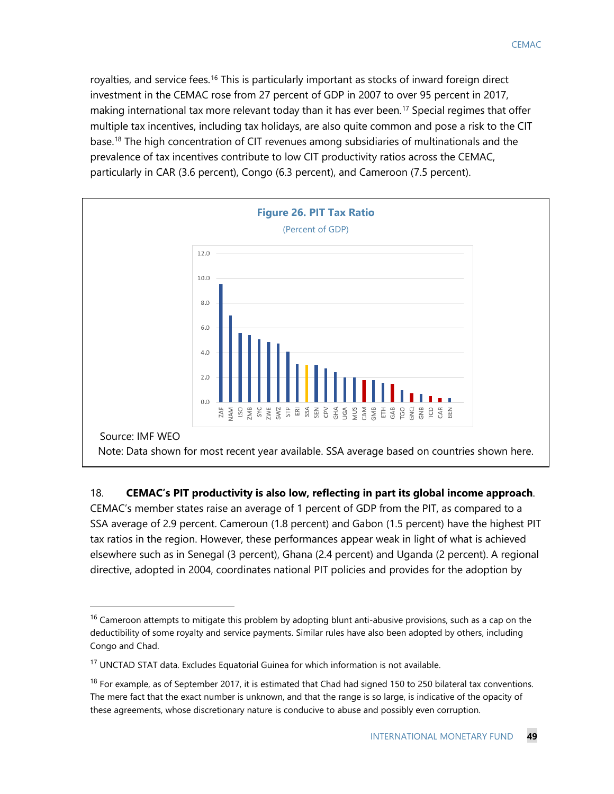royalties, and service fees.[16](#page-49-0) This is particularly important as stocks of inward foreign direct investment in the CEMAC rose from 27 percent of GDP in 2007 to over 95 percent in 2017, making international tax more relevant today than it has ever been.<sup>[17](#page-49-1)</sup> Special regimes that offer multiple tax incentives, including tax holidays, are also quite common and pose a risk to the CIT base.[18](#page-49-2) The high concentration of CIT revenues among subsidiaries of multinationals and the prevalence of tax incentives contribute to low CIT productivity ratios across the CEMAC, particularly in CAR (3.6 percent), Congo (6.3 percent), and Cameroon (7.5 percent).

![](_page_49_Figure_1.jpeg)

18. **CEMAC's PIT productivity is also low, reflecting in part its global income approach**.

CEMAC's member states raise an average of 1 percent of GDP from the PIT, as compared to a SSA average of 2.9 percent. Cameroun (1.8 percent) and Gabon (1.5 percent) have the highest PIT tax ratios in the region. However, these performances appear weak in light of what is achieved elsewhere such as in Senegal (3 percent), Ghana (2.4 percent) and Uganda (2 percent). A regional directive, adopted in 2004, coordinates national PIT policies and provides for the adoption by

<span id="page-49-0"></span> $16$  Cameroon attempts to mitigate this problem by adopting blunt anti-abusive provisions, such as a cap on the deductibility of some royalty and service payments. Similar rules have also been adopted by others, including Congo and Chad.

<span id="page-49-1"></span><sup>&</sup>lt;sup>17</sup> UNCTAD STAT data. Excludes Equatorial Guinea for which information is not available.

<span id="page-49-2"></span> $18$  For example, as of September 2017, it is estimated that Chad had signed 150 to 250 bilateral tax conventions. The mere fact that the exact number is unknown, and that the range is so large, is indicative of the opacity of these agreements, whose discretionary nature is conducive to abuse and possibly even corruption.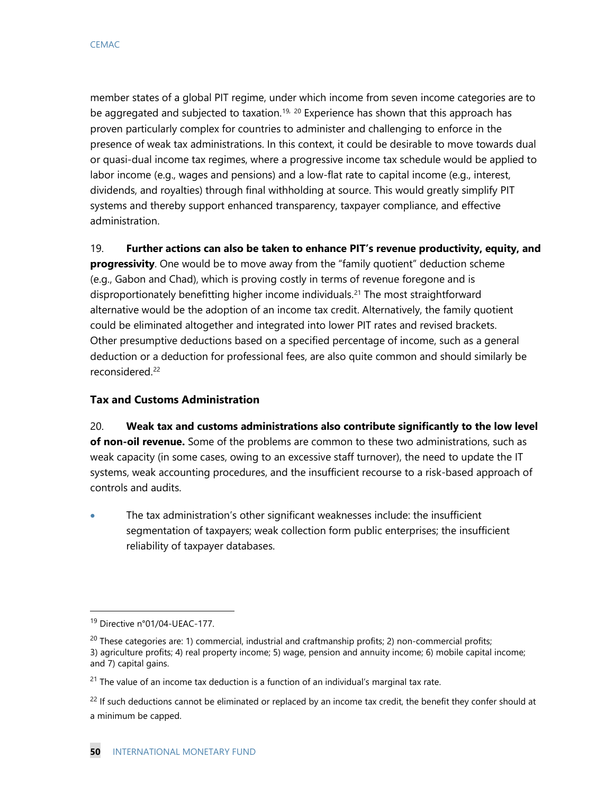member states of a global PIT regime, under which income from seven income categories are to be aggregated and subjected to taxation.<sup>[19](#page-50-0), [20](#page-50-1)</sup> Experience has shown that this approach has proven particularly complex for countries to administer and challenging to enforce in the presence of weak tax administrations. In this context, it could be desirable to move towards dual or quasi-dual income tax regimes, where a progressive income tax schedule would be applied to labor income (e.g., wages and pensions) and a low-flat rate to capital income (e.g., interest, dividends, and royalties) through final withholding at source. This would greatly simplify PIT systems and thereby support enhanced transparency, taxpayer compliance, and effective administration.

19. **Further actions can also be taken to enhance PIT's revenue productivity, equity, and progressivity**. One would be to move away from the "family quotient" deduction scheme (e.g., Gabon and Chad), which is proving costly in terms of revenue foregone and is disproportionately benefitting higher income individuals.[21](#page-50-2) The most straightforward alternative would be the adoption of an income tax credit. Alternatively, the family quotient could be eliminated altogether and integrated into lower PIT rates and revised brackets. Other presumptive deductions based on a specified percentage of income, such as a general deduction or a deduction for professional fees, are also quite common and should similarly be reconsidered.[22](#page-50-3) 

## **Tax and Customs Administration**

20. **Weak tax and customs administrations also contribute significantly to the low level of non-oil revenue.** Some of the problems are common to these two administrations, such as weak capacity (in some cases, owing to an excessive staff turnover), the need to update the IT systems, weak accounting procedures, and the insufficient recourse to a risk-based approach of controls and audits.

• The tax administration's other significant weaknesses include: the insufficient segmentation of taxpayers; weak collection form public enterprises; the insufficient reliability of taxpayer databases.

<span id="page-50-0"></span> <sup>19</sup> Directive n°01/04-UEAC-177.

<span id="page-50-1"></span> $^{20}$  These categories are: 1) commercial, industrial and craftmanship profits; 2) non-commercial profits; 3) agriculture profits; 4) real property income; 5) wage, pension and annuity income; 6) mobile capital income; and 7) capital gains.

<span id="page-50-2"></span> $21$  The value of an income tax deduction is a function of an individual's marginal tax rate.

<span id="page-50-3"></span><sup>&</sup>lt;sup>22</sup> If such deductions cannot be eliminated or replaced by an income tax credit, the benefit they confer should at a minimum be capped.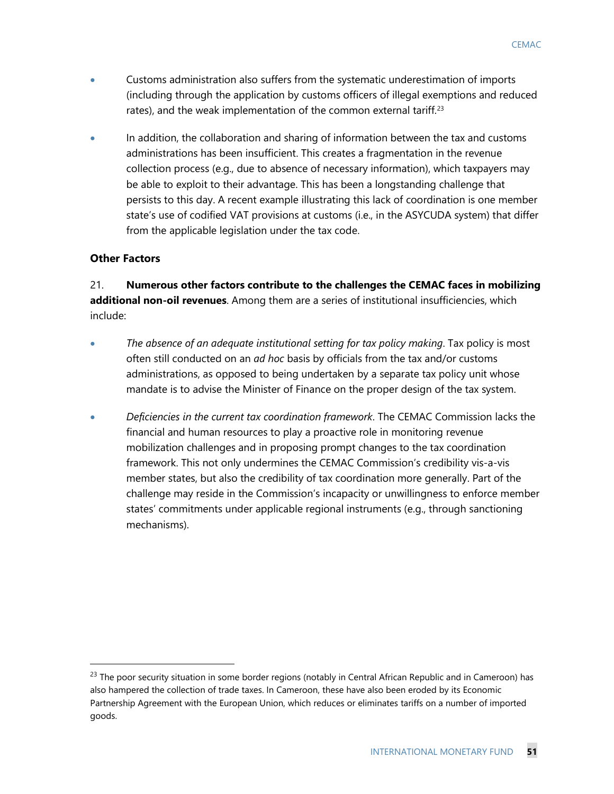- Customs administration also suffers from the systematic underestimation of imports (including through the application by customs officers of illegal exemptions and reduced rates), and the weak implementation of the common external tariff.<sup>[23](#page-51-0)</sup>
- In addition, the collaboration and sharing of information between the tax and customs administrations has been insufficient. This creates a fragmentation in the revenue collection process (e.g., due to absence of necessary information), which taxpayers may be able to exploit to their advantage. This has been a longstanding challenge that persists to this day. A recent example illustrating this lack of coordination is one member state's use of codified VAT provisions at customs (i.e., in the ASYCUDA system) that differ from the applicable legislation under the tax code.

## **Other Factors**

21. **Numerous other factors contribute to the challenges the CEMAC faces in mobilizing additional non-oil revenues**. Among them are a series of institutional insufficiencies, which include:

- *The absence of an adequate institutional setting for tax policy making*. Tax policy is most often still conducted on an *ad hoc* basis by officials from the tax and/or customs administrations, as opposed to being undertaken by a separate tax policy unit whose mandate is to advise the Minister of Finance on the proper design of the tax system.
- *Deficiencies in the current tax coordination framework*. The CEMAC Commission lacks the financial and human resources to play a proactive role in monitoring revenue mobilization challenges and in proposing prompt changes to the tax coordination framework. This not only undermines the CEMAC Commission's credibility vis-a-vis member states, but also the credibility of tax coordination more generally. Part of the challenge may reside in the Commission's incapacity or unwillingness to enforce member states' commitments under applicable regional instruments (e.g., through sanctioning mechanisms).

<span id="page-51-0"></span><sup>&</sup>lt;sup>23</sup> The poor security situation in some border regions (notably in Central African Republic and in Cameroon) has also hampered the collection of trade taxes. In Cameroon, these have also been eroded by its Economic Partnership Agreement with the European Union, which reduces or eliminates tariffs on a number of imported goods.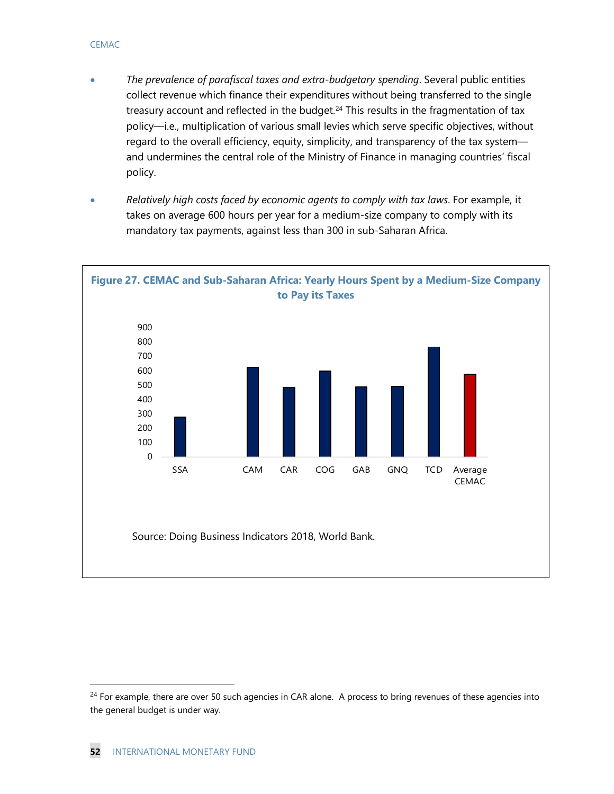- *The prevalence of parafiscal taxes and extra-budgetary spending*. Several public entities collect revenue which finance their expenditures without being transferred to the single treasury account and reflected in the budget. $24$  This results in the fragmentation of tax policy—i.e., multiplication of various small levies which serve specific objectives, without regard to the overall efficiency, equity, simplicity, and transparency of the tax system and undermines the central role of the Ministry of Finance in managing countries' fiscal policy.
- *Relatively high costs faced by economic agents to comply with tax laws*. For example, it takes on average 600 hours per year for a medium-size company to comply with its mandatory tax payments, against less than 300 in sub-Saharan Africa.

![](_page_52_Figure_3.jpeg)

<span id="page-52-0"></span><sup>&</sup>lt;sup>24</sup> For example, there are over 50 such agencies in CAR alone. A process to bring revenues of these agencies into the general budget is under way.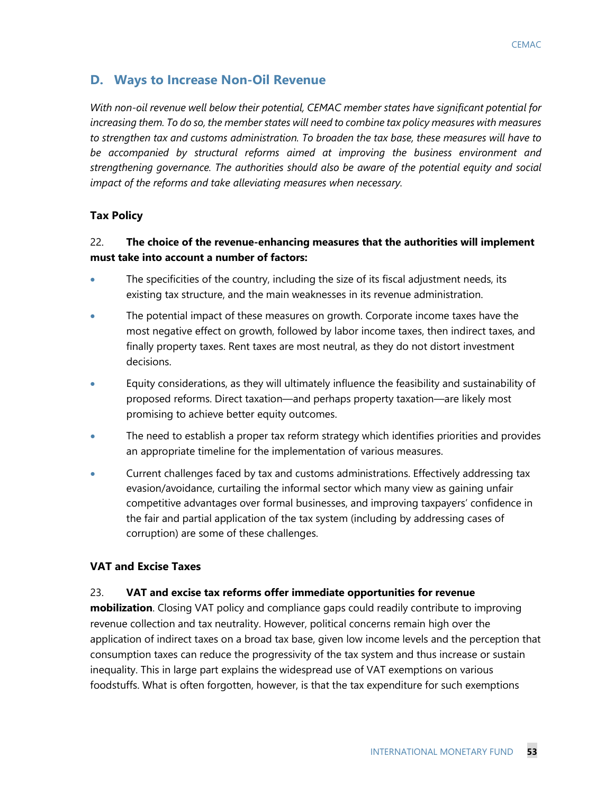## **D. Ways to Increase Non-Oil Revenue**

*With non-oil revenue well below their potential, CEMAC member states have significant potential for increasing them. To do so, the member states will need to combine tax policy measures with measures to strengthen tax and customs administration. To broaden the tax base, these measures will have to be accompanied by structural reforms aimed at improving the business environment and strengthening governance. The authorities should also be aware of the potential equity and social impact of the reforms and take alleviating measures when necessary.*

## **Tax Policy**

## 22. **The choice of the revenue-enhancing measures that the authorities will implement must take into account a number of factors:**

- The specificities of the country, including the size of its fiscal adjustment needs, its existing tax structure, and the main weaknesses in its revenue administration.
- The potential impact of these measures on growth. Corporate income taxes have the most negative effect on growth, followed by labor income taxes, then indirect taxes, and finally property taxes. Rent taxes are most neutral, as they do not distort investment decisions.
- Equity considerations, as they will ultimately influence the feasibility and sustainability of proposed reforms. Direct taxation—and perhaps property taxation—are likely most promising to achieve better equity outcomes.
- The need to establish a proper tax reform strategy which identifies priorities and provides an appropriate timeline for the implementation of various measures.
- Current challenges faced by tax and customs administrations. Effectively addressing tax evasion/avoidance, curtailing the informal sector which many view as gaining unfair competitive advantages over formal businesses, and improving taxpayers' confidence in the fair and partial application of the tax system (including by addressing cases of corruption) are some of these challenges.

## **VAT and Excise Taxes**

## 23. **VAT and excise tax reforms offer immediate opportunities for revenue**

**mobilization**. Closing VAT policy and compliance gaps could readily contribute to improving revenue collection and tax neutrality. However, political concerns remain high over the application of indirect taxes on a broad tax base, given low income levels and the perception that consumption taxes can reduce the progressivity of the tax system and thus increase or sustain inequality. This in large part explains the widespread use of VAT exemptions on various foodstuffs. What is often forgotten, however, is that the tax expenditure for such exemptions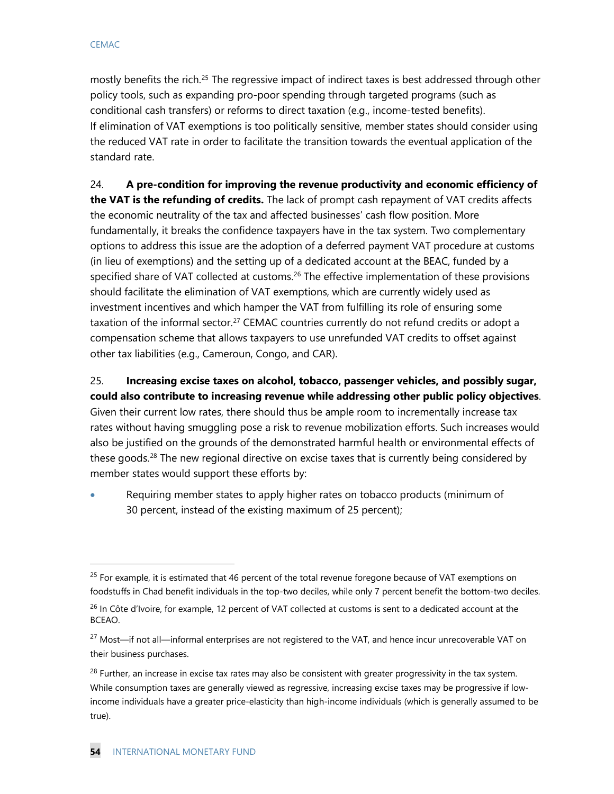$\ddot{ }$ 

mostly benefits the rich.<sup>[25](#page-54-0)</sup> The regressive impact of indirect taxes is best addressed through other policy tools, such as expanding pro-poor spending through targeted programs (such as conditional cash transfers) or reforms to direct taxation (e.g., income-tested benefits). If elimination of VAT exemptions is too politically sensitive, member states should consider using the reduced VAT rate in order to facilitate the transition towards the eventual application of the standard rate.

24. **A pre-condition for improving the revenue productivity and economic efficiency of the VAT is the refunding of credits.** The lack of prompt cash repayment of VAT credits affects the economic neutrality of the tax and affected businesses' cash flow position. More fundamentally, it breaks the confidence taxpayers have in the tax system. Two complementary options to address this issue are the adoption of a deferred payment VAT procedure at customs (in lieu of exemptions) and the setting up of a dedicated account at the BEAC, funded by a specified share of VAT collected at customs.<sup>[26](#page-54-1)</sup> The effective implementation of these provisions should facilitate the elimination of VAT exemptions, which are currently widely used as investment incentives and which hamper the VAT from fulfilling its role of ensuring some taxation of the informal sector.<sup>[27](#page-54-2)</sup> CEMAC countries currently do not refund credits or adopt a compensation scheme that allows taxpayers to use unrefunded VAT credits to offset against other tax liabilities (e.g., Cameroun, Congo, and CAR).

25. **Increasing excise taxes on alcohol, tobacco, passenger vehicles, and possibly sugar, could also contribute to increasing revenue while addressing other public policy objectives**. Given their current low rates, there should thus be ample room to incrementally increase tax rates without having smuggling pose a risk to revenue mobilization efforts. Such increases would also be justified on the grounds of the demonstrated harmful health or environmental effects of these goods.<sup>[28](#page-54-3)</sup> The new regional directive on excise taxes that is currently being considered by member states would support these efforts by:

• Requiring member states to apply higher rates on tobacco products (minimum of 30 percent, instead of the existing maximum of 25 percent);

<span id="page-54-0"></span><sup>&</sup>lt;sup>25</sup> For example, it is estimated that 46 percent of the total revenue foregone because of VAT exemptions on foodstuffs in Chad benefit individuals in the top-two deciles, while only 7 percent benefit the bottom-two deciles.

<span id="page-54-1"></span><sup>&</sup>lt;sup>26</sup> In Côte d'Ivoire, for example, 12 percent of VAT collected at customs is sent to a dedicated account at the BCEAO.

<span id="page-54-2"></span><sup>&</sup>lt;sup>27</sup> Most—if not all—informal enterprises are not registered to the VAT, and hence incur unrecoverable VAT on their business purchases.

<span id="page-54-3"></span> $^{28}$  Further, an increase in excise tax rates may also be consistent with greater progressivity in the tax system. While consumption taxes are generally viewed as regressive, increasing excise taxes may be progressive if lowincome individuals have a greater price-elasticity than high-income individuals (which is generally assumed to be true).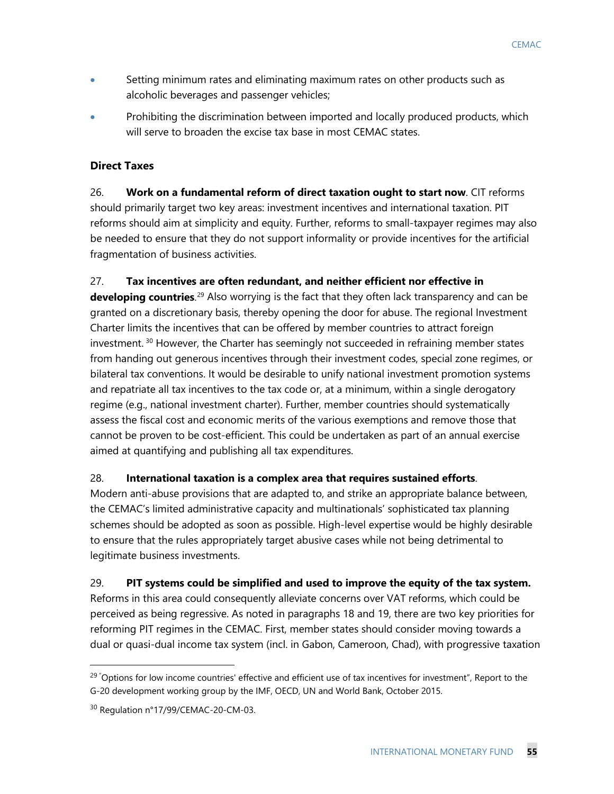- Setting minimum rates and eliminating maximum rates on other products such as alcoholic beverages and passenger vehicles;
- Prohibiting the discrimination between imported and locally produced products, which will serve to broaden the excise tax base in most CEMAC states.

## **Direct Taxes**

26. **Work on a fundamental reform of direct taxation ought to start now**. CIT reforms should primarily target two key areas: investment incentives and international taxation. PIT reforms should aim at simplicity and equity. Further, reforms to small-taxpayer regimes may also be needed to ensure that they do not support informality or provide incentives for the artificial fragmentation of business activities.

## 27. **Tax incentives are often redundant, and neither efficient nor effective in**

**developing countries**. [29](#page-55-0) Also worrying is the fact that they often lack transparency and can be granted on a discretionary basis, thereby opening the door for abuse. The regional Investment Charter limits the incentives that can be offered by member countries to attract foreign investment.  $30$  However, the Charter has seemingly not succeeded in refraining member states from handing out generous incentives through their investment codes, special zone regimes, or bilateral tax conventions. It would be desirable to unify national investment promotion systems and repatriate all tax incentives to the tax code or, at a minimum, within a single derogatory regime (e.g., national investment charter). Further, member countries should systematically assess the fiscal cost and economic merits of the various exemptions and remove those that cannot be proven to be cost-efficient. This could be undertaken as part of an annual exercise aimed at quantifying and publishing all tax expenditures.

## 28. **International taxation is a complex area that requires sustained efforts**.

Modern anti-abuse provisions that are adapted to, and strike an appropriate balance between, the CEMAC's limited administrative capacity and multinationals' sophisticated tax planning schemes should be adopted as soon as possible. High-level expertise would be highly desirable to ensure that the rules appropriately target abusive cases while not being detrimental to legitimate business investments.

## 29. **PIT systems could be simplified and used to improve the equity of the tax system.**

Reforms in this area could consequently alleviate concerns over VAT reforms, which could be perceived as being regressive. As noted in paragraphs 18 and 19, there are two key priorities for reforming PIT regimes in the CEMAC. First, member states should consider moving towards a dual or quasi-dual income tax system (incl. in Gabon, Cameroon, Chad), with progressive taxation

<span id="page-55-0"></span> <sup>29</sup> " Options for low income countries' effective and efficient use of tax incentives for investment", Report to the G-20 development working group by the IMF, OECD, UN and World Bank, October 2015.

<span id="page-55-1"></span><sup>30</sup> Regulation n°17/99/CEMAC-20-CM-03.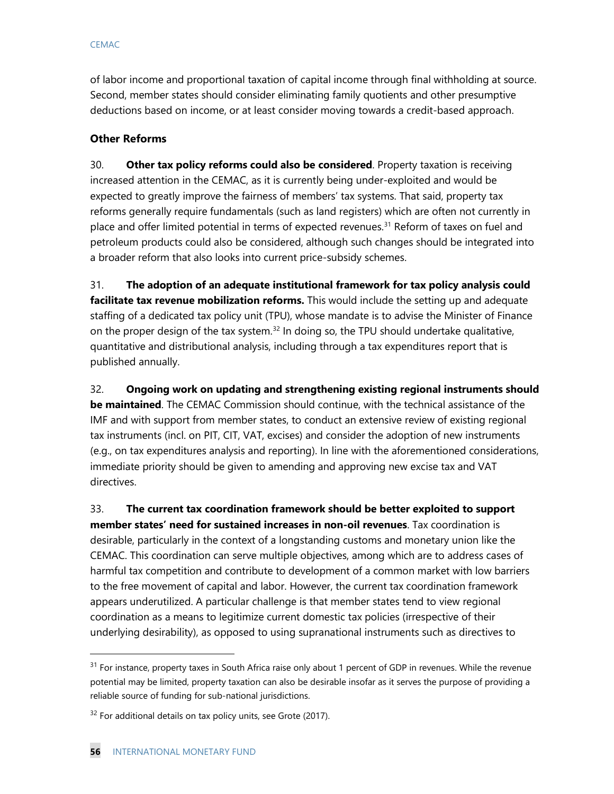of labor income and proportional taxation of capital income through final withholding at source. Second, member states should consider eliminating family quotients and other presumptive deductions based on income, or at least consider moving towards a credit-based approach.

## **Other Reforms**

30. **Other tax policy reforms could also be considered**. Property taxation is receiving increased attention in the CEMAC, as it is currently being under-exploited and would be expected to greatly improve the fairness of members' tax systems. That said, property tax reforms generally require fundamentals (such as land registers) which are often not currently in place and offer limited potential in terms of expected revenues.<sup>[31](#page-56-0)</sup> Reform of taxes on fuel and petroleum products could also be considered, although such changes should be integrated into a broader reform that also looks into current price-subsidy schemes.

31. **The adoption of an adequate institutional framework for tax policy analysis could facilitate tax revenue mobilization reforms.** This would include the setting up and adequate staffing of a dedicated tax policy unit (TPU), whose mandate is to advise the Minister of Finance on the proper design of the tax system.<sup>[32](#page-56-1)</sup> In doing so, the TPU should undertake qualitative, quantitative and distributional analysis, including through a tax expenditures report that is published annually.

32. **Ongoing work on updating and strengthening existing regional instruments should be maintained**. The CEMAC Commission should continue, with the technical assistance of the IMF and with support from member states, to conduct an extensive review of existing regional tax instruments (incl. on PIT, CIT, VAT, excises) and consider the adoption of new instruments (e.g., on tax expenditures analysis and reporting). In line with the aforementioned considerations, immediate priority should be given to amending and approving new excise tax and VAT directives.

33. **The current tax coordination framework should be better exploited to support member states' need for sustained increases in non-oil revenues**. Tax coordination is desirable, particularly in the context of a longstanding customs and monetary union like the CEMAC. This coordination can serve multiple objectives, among which are to address cases of harmful tax competition and contribute to development of a common market with low barriers to the free movement of capital and labor. However, the current tax coordination framework appears underutilized. A particular challenge is that member states tend to view regional coordination as a means to legitimize current domestic tax policies (irrespective of their underlying desirability), as opposed to using supranational instruments such as directives to

 $\ddot{ }$ 

<span id="page-56-0"></span> $31$  For instance, property taxes in South Africa raise only about 1 percent of GDP in revenues. While the revenue potential may be limited, property taxation can also be desirable insofar as it serves the purpose of providing a reliable source of funding for sub-national jurisdictions.

<span id="page-56-1"></span> $32$  For additional details on tax policy units, see Grote (2017).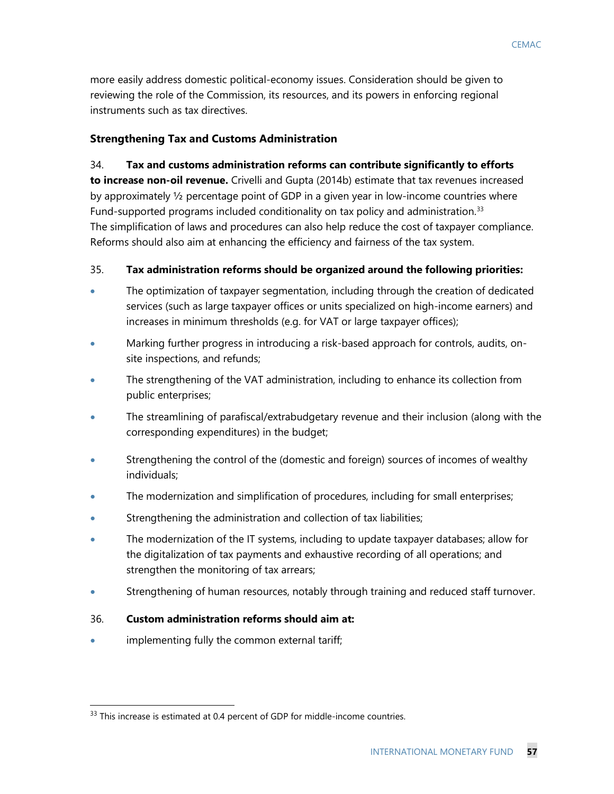more easily address domestic political-economy issues. Consideration should be given to reviewing the role of the Commission, its resources, and its powers in enforcing regional instruments such as tax directives.

## **Strengthening Tax and Customs Administration**

#### 34. **Tax and customs administration reforms can contribute significantly to efforts**

**to increase non-oil revenue.** Crivelli and Gupta (2014b) estimate that tax revenues increased by approximately ½ percentage point of GDP in a given year in low-income countries where Fund-supported programs included conditionality on tax policy and administration.[33](#page-57-0) The simplification of laws and procedures can also help reduce the cost of taxpayer compliance. Reforms should also aim at enhancing the efficiency and fairness of the tax system.

#### 35. **Tax administration reforms should be organized around the following priorities:**

- The optimization of taxpayer segmentation, including through the creation of dedicated services (such as large taxpayer offices or units specialized on high-income earners) and increases in minimum thresholds (e.g. for VAT or large taxpayer offices);
- Marking further progress in introducing a risk-based approach for controls, audits, onsite inspections, and refunds;
- The strengthening of the VAT administration, including to enhance its collection from public enterprises;
- The streamlining of parafiscal/extrabudgetary revenue and their inclusion (along with the corresponding expenditures) in the budget;
- Strengthening the control of the (domestic and foreign) sources of incomes of wealthy individuals;
- The modernization and simplification of procedures, including for small enterprises;
- Strengthening the administration and collection of tax liabilities;
- The modernization of the IT systems, including to update taxpayer databases; allow for the digitalization of tax payments and exhaustive recording of all operations; and strengthen the monitoring of tax arrears;
- Strengthening of human resources, notably through training and reduced staff turnover.

## 36. **Custom administration reforms should aim at:**

implementing fully the common external tariff;

<span id="page-57-0"></span><sup>&</sup>lt;sup>33</sup> This increase is estimated at 0.4 percent of GDP for middle-income countries.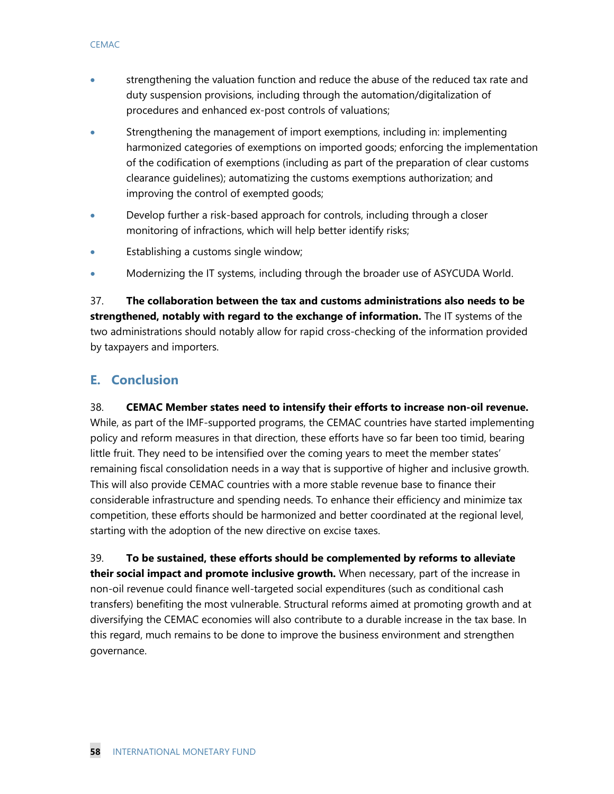- strengthening the valuation function and reduce the abuse of the reduced tax rate and duty suspension provisions, including through the automation/digitalization of procedures and enhanced ex-post controls of valuations;
- Strengthening the management of import exemptions, including in: implementing harmonized categories of exemptions on imported goods; enforcing the implementation of the codification of exemptions (including as part of the preparation of clear customs clearance guidelines); automatizing the customs exemptions authorization; and improving the control of exempted goods;
- Develop further a risk-based approach for controls, including through a closer monitoring of infractions, which will help better identify risks;
- Establishing a customs single window;
- Modernizing the IT systems, including through the broader use of ASYCUDA World.

37. **The collaboration between the tax and customs administrations also needs to be strengthened, notably with regard to the exchange of information.** The IT systems of the two administrations should notably allow for rapid cross-checking of the information provided by taxpayers and importers.

## **E. Conclusion**

38. **CEMAC Member states need to intensify their efforts to increase non-oil revenue.** While, as part of the IMF-supported programs, the CEMAC countries have started implementing policy and reform measures in that direction, these efforts have so far been too timid, bearing little fruit. They need to be intensified over the coming years to meet the member states' remaining fiscal consolidation needs in a way that is supportive of higher and inclusive growth. This will also provide CEMAC countries with a more stable revenue base to finance their considerable infrastructure and spending needs. To enhance their efficiency and minimize tax competition, these efforts should be harmonized and better coordinated at the regional level, starting with the adoption of the new directive on excise taxes.

39. **To be sustained, these efforts should be complemented by reforms to alleviate their social impact and promote inclusive growth.** When necessary, part of the increase in non-oil revenue could finance well-targeted social expenditures (such as conditional cash transfers) benefiting the most vulnerable. Structural reforms aimed at promoting growth and at diversifying the CEMAC economies will also contribute to a durable increase in the tax base. In this regard, much remains to be done to improve the business environment and strengthen governance.